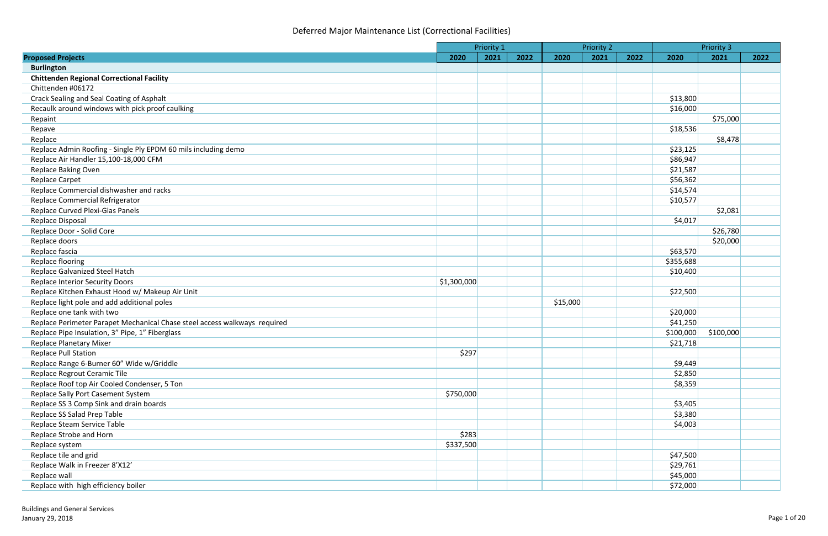|                                                                           | <b>Priority 1</b> |      | <b>Priority 2</b> |          |      |      | <b>Priority 3</b> |           |      |
|---------------------------------------------------------------------------|-------------------|------|-------------------|----------|------|------|-------------------|-----------|------|
| <b>Proposed Projects</b>                                                  | 2020              | 2021 | 2022              | 2020     | 2021 | 2022 | 2020              | 2021      | 2022 |
| <b>Burlington</b>                                                         |                   |      |                   |          |      |      |                   |           |      |
| <b>Chittenden Regional Correctional Facility</b>                          |                   |      |                   |          |      |      |                   |           |      |
| Chittenden #06172                                                         |                   |      |                   |          |      |      |                   |           |      |
| Crack Sealing and Seal Coating of Asphalt                                 |                   |      |                   |          |      |      | \$13,800          |           |      |
| Recaulk around windows with pick proof caulking                           |                   |      |                   |          |      |      | \$16,000          |           |      |
| Repaint                                                                   |                   |      |                   |          |      |      |                   | \$75,000  |      |
| Repave                                                                    |                   |      |                   |          |      |      | \$18,536          |           |      |
| Replace                                                                   |                   |      |                   |          |      |      |                   | \$8,478   |      |
| Replace Admin Roofing - Single Ply EPDM 60 mils including demo            |                   |      |                   |          |      |      | \$23,125          |           |      |
| Replace Air Handler 15,100-18,000 CFM                                     |                   |      |                   |          |      |      | \$86,947          |           |      |
| Replace Baking Oven                                                       |                   |      |                   |          |      |      | \$21,587          |           |      |
| <b>Replace Carpet</b>                                                     |                   |      |                   |          |      |      | \$56,362          |           |      |
| Replace Commercial dishwasher and racks                                   |                   |      |                   |          |      |      | \$14,574          |           |      |
| Replace Commercial Refrigerator                                           |                   |      |                   |          |      |      | \$10,577          |           |      |
| Replace Curved Plexi-Glas Panels                                          |                   |      |                   |          |      |      |                   | \$2,081   |      |
| Replace Disposal                                                          |                   |      |                   |          |      |      | \$4,017           |           |      |
| Replace Door - Solid Core                                                 |                   |      |                   |          |      |      |                   | \$26,780  |      |
| Replace doors                                                             |                   |      |                   |          |      |      |                   | \$20,000  |      |
| Replace fascia                                                            |                   |      |                   |          |      |      | \$63,570          |           |      |
| Replace flooring                                                          |                   |      |                   |          |      |      | \$355,688         |           |      |
| Replace Galvanized Steel Hatch                                            |                   |      |                   |          |      |      | \$10,400          |           |      |
| <b>Replace Interior Security Doors</b>                                    | \$1,300,000       |      |                   |          |      |      |                   |           |      |
| Replace Kitchen Exhaust Hood w/ Makeup Air Unit                           |                   |      |                   |          |      |      | \$22,500          |           |      |
| Replace light pole and add additional poles                               |                   |      |                   | \$15,000 |      |      |                   |           |      |
| Replace one tank with two                                                 |                   |      |                   |          |      |      | \$20,000          |           |      |
| Replace Perimeter Parapet Mechanical Chase steel access walkways required |                   |      |                   |          |      |      | \$41,250          |           |      |
| Replace Pipe Insulation, 3" Pipe, 1" Fiberglass                           |                   |      |                   |          |      |      | \$100,000         | \$100,000 |      |
| Replace Planetary Mixer                                                   |                   |      |                   |          |      |      | \$21,718          |           |      |
| <b>Replace Pull Station</b>                                               | \$297             |      |                   |          |      |      |                   |           |      |
| Replace Range 6-Burner 60" Wide w/Griddle                                 |                   |      |                   |          |      |      | \$9,449           |           |      |
| Replace Regrout Ceramic Tile                                              |                   |      |                   |          |      |      | \$2,850           |           |      |
| Replace Roof top Air Cooled Condenser, 5 Ton                              |                   |      |                   |          |      |      | \$8,359           |           |      |
| Replace Sally Port Casement System                                        | \$750,000         |      |                   |          |      |      |                   |           |      |
| Replace SS 3 Comp Sink and drain boards                                   |                   |      |                   |          |      |      | \$3,405           |           |      |
| Replace SS Salad Prep Table                                               |                   |      |                   |          |      |      | \$3,380           |           |      |
| Replace Steam Service Table                                               |                   |      |                   |          |      |      | \$4,003           |           |      |
| Replace Strobe and Horn                                                   | \$283             |      |                   |          |      |      |                   |           |      |
| Replace system                                                            | \$337,500         |      |                   |          |      |      |                   |           |      |
| Replace tile and grid                                                     |                   |      |                   |          |      |      | \$47,500          |           |      |
| Replace Walk in Freezer 8'X12'                                            |                   |      |                   |          |      |      | \$29,761          |           |      |
| Replace wall                                                              |                   |      |                   |          |      |      | \$45,000          |           |      |
| Replace with high efficiency boiler                                       |                   |      |                   |          |      |      | \$72,000          |           |      |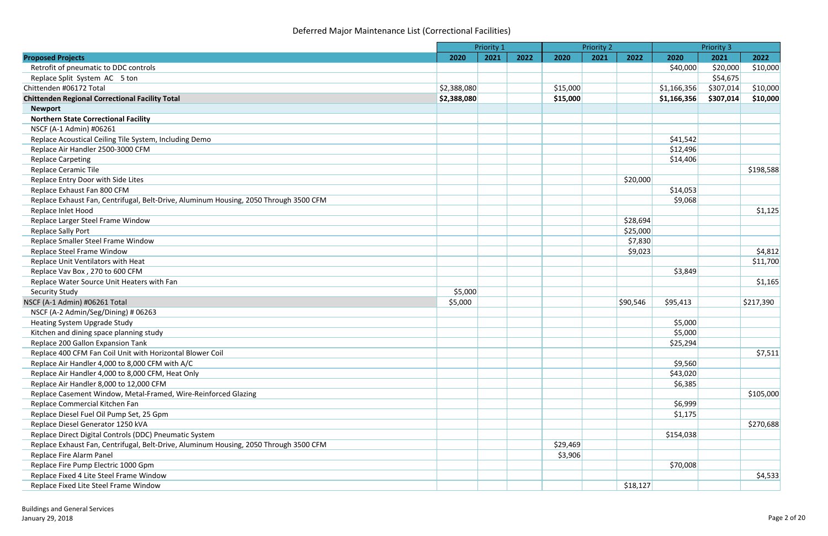|                                                                                       |             | Priority 1 |      |          | <b>Priority 2</b> |          |             | <b>Priority 3</b> |           |
|---------------------------------------------------------------------------------------|-------------|------------|------|----------|-------------------|----------|-------------|-------------------|-----------|
| <b>Proposed Projects</b>                                                              | 2020        | 2021       | 2022 | 2020     | 2021              | 2022     | 2020        | 2021              | 2022      |
| Retrofit of pneumatic to DDC controls                                                 |             |            |      |          |                   |          | \$40,000    | \$20,000          | \$10,000  |
| Replace Split System AC 5 ton                                                         |             |            |      |          |                   |          |             | \$54,675          |           |
| Chittenden #06172 Total                                                               | \$2,388,080 |            |      | \$15,000 |                   |          | \$1,166,356 | \$307,014         | \$10,000  |
| <b>Chittenden Regional Correctional Facility Total</b>                                | \$2,388,080 |            |      | \$15,000 |                   |          | \$1,166,356 | \$307,014         | \$10,000  |
| <b>Newport</b>                                                                        |             |            |      |          |                   |          |             |                   |           |
| <b>Northern State Correctional Facility</b>                                           |             |            |      |          |                   |          |             |                   |           |
| NSCF (A-1 Admin) #06261                                                               |             |            |      |          |                   |          |             |                   |           |
| Replace Acoustical Ceiling Tile System, Including Demo                                |             |            |      |          |                   |          | \$41,542    |                   |           |
| Replace Air Handler 2500-3000 CFM                                                     |             |            |      |          |                   |          | \$12,496    |                   |           |
| <b>Replace Carpeting</b>                                                              |             |            |      |          |                   |          | \$14,406    |                   |           |
| <b>Replace Ceramic Tile</b>                                                           |             |            |      |          |                   |          |             |                   | \$198,588 |
| Replace Entry Door with Side Lites                                                    |             |            |      |          |                   | \$20,000 |             |                   |           |
| Replace Exhaust Fan 800 CFM                                                           |             |            |      |          |                   |          | \$14,053    |                   |           |
| Replace Exhaust Fan, Centrifugal, Belt-Drive, Aluminum Housing, 2050 Through 3500 CFM |             |            |      |          |                   |          | \$9,068     |                   |           |
| Replace Inlet Hood                                                                    |             |            |      |          |                   |          |             |                   | \$1,125   |
| Replace Larger Steel Frame Window                                                     |             |            |      |          |                   | \$28,694 |             |                   |           |
| <b>Replace Sally Port</b>                                                             |             |            |      |          |                   | \$25,000 |             |                   |           |
| Replace Smaller Steel Frame Window                                                    |             |            |      |          |                   | \$7,830  |             |                   |           |
| Replace Steel Frame Window                                                            |             |            |      |          |                   | \$9,023  |             |                   | \$4,812   |
| Replace Unit Ventilators with Heat                                                    |             |            |      |          |                   |          |             |                   | \$11,700  |
| Replace Vav Box, 270 to 600 CFM                                                       |             |            |      |          |                   |          | \$3,849     |                   |           |
| Replace Water Source Unit Heaters with Fan                                            |             |            |      |          |                   |          |             |                   | \$1,165   |
| <b>Security Study</b>                                                                 | \$5,000     |            |      |          |                   |          |             |                   |           |
| NSCF (A-1 Admin) #06261 Total                                                         | \$5,000     |            |      |          |                   | \$90,546 | \$95,413    |                   | \$217,390 |
| NSCF (A-2 Admin/Seg/Dining) # 06263                                                   |             |            |      |          |                   |          |             |                   |           |
| Heating System Upgrade Study                                                          |             |            |      |          |                   |          | \$5,000     |                   |           |
| Kitchen and dining space planning study                                               |             |            |      |          |                   |          | \$5,000     |                   |           |
| Replace 200 Gallon Expansion Tank                                                     |             |            |      |          |                   |          | \$25,294    |                   |           |
| Replace 400 CFM Fan Coil Unit with Horizontal Blower Coil                             |             |            |      |          |                   |          |             |                   | \$7,511   |
| Replace Air Handler 4,000 to 8,000 CFM with A/C                                       |             |            |      |          |                   |          | \$9,560     |                   |           |
| Replace Air Handler 4,000 to 8,000 CFM, Heat Only                                     |             |            |      |          |                   |          | \$43,020    |                   |           |
| Replace Air Handler 8,000 to 12,000 CFM                                               |             |            |      |          |                   |          | \$6,385     |                   |           |
| Replace Casement Window, Metal-Framed, Wire-Reinforced Glazing                        |             |            |      |          |                   |          |             |                   | \$105,000 |
| Replace Commercial Kitchen Fan                                                        |             |            |      |          |                   |          | \$6,999     |                   |           |
| Replace Diesel Fuel Oil Pump Set, 25 Gpm                                              |             |            |      |          |                   |          | \$1,175     |                   |           |
| Replace Diesel Generator 1250 kVA                                                     |             |            |      |          |                   |          |             |                   | \$270,688 |
| Replace Direct Digital Controls (DDC) Pneumatic System                                |             |            |      |          |                   |          | \$154,038   |                   |           |
| Replace Exhaust Fan, Centrifugal, Belt-Drive, Aluminum Housing, 2050 Through 3500 CFM |             |            |      | \$29,469 |                   |          |             |                   |           |
| Replace Fire Alarm Panel                                                              |             |            |      | \$3,906  |                   |          |             |                   |           |
| Replace Fire Pump Electric 1000 Gpm                                                   |             |            |      |          |                   |          | \$70,008    |                   |           |
| Replace Fixed 4 Lite Steel Frame Window                                               |             |            |      |          |                   |          |             |                   | \$4,533   |
| Replace Fixed Lite Steel Frame Window                                                 |             |            |      |          |                   | \$18,127 |             |                   |           |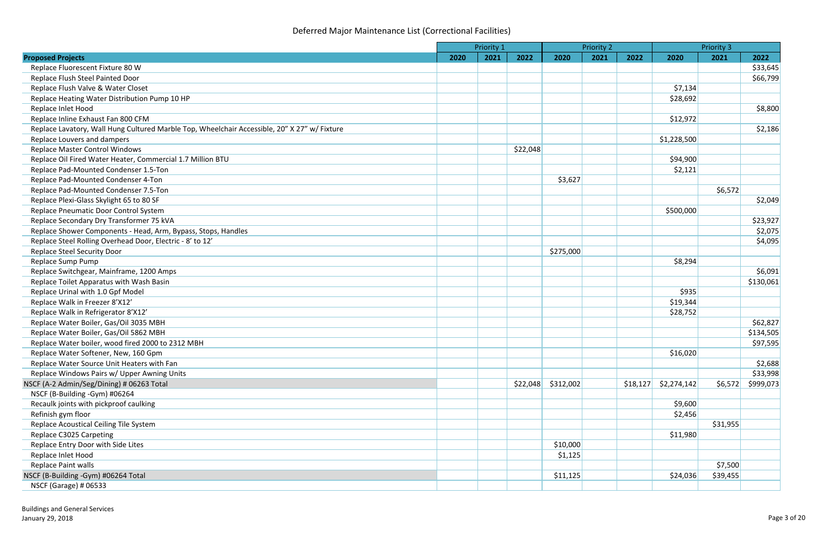|                                                                                              |      | Priority 1 |          |           | <b>Priority 2</b> |          |             | <b>Priority 3</b> |           |
|----------------------------------------------------------------------------------------------|------|------------|----------|-----------|-------------------|----------|-------------|-------------------|-----------|
| <b>Proposed Projects</b>                                                                     | 2020 | 2021       | 2022     | 2020      | 2021              | 2022     | 2020        | 2021              | 2022      |
| Replace Fluorescent Fixture 80 W                                                             |      |            |          |           |                   |          |             |                   | \$33,645  |
| Replace Flush Steel Painted Door                                                             |      |            |          |           |                   |          |             |                   | \$66,799  |
| Replace Flush Valve & Water Closet                                                           |      |            |          |           |                   |          | \$7,134     |                   |           |
| Replace Heating Water Distribution Pump 10 HP                                                |      |            |          |           |                   |          | \$28,692    |                   |           |
| Replace Inlet Hood                                                                           |      |            |          |           |                   |          |             |                   | \$8,800   |
| Replace Inline Exhaust Fan 800 CFM                                                           |      |            |          |           |                   |          | \$12,972    |                   |           |
| Replace Lavatory, Wall Hung Cultured Marble Top, Wheelchair Accessible, 20" X 27" w/ Fixture |      |            |          |           |                   |          |             |                   | \$2,186   |
| Replace Louvers and dampers                                                                  |      |            |          |           |                   |          | \$1,228,500 |                   |           |
| <b>Replace Master Control Windows</b>                                                        |      |            | \$22,048 |           |                   |          |             |                   |           |
| Replace Oil Fired Water Heater, Commercial 1.7 Million BTU                                   |      |            |          |           |                   |          | \$94,900    |                   |           |
| Replace Pad-Mounted Condenser 1.5-Ton                                                        |      |            |          |           |                   |          | \$2,121     |                   |           |
| Replace Pad-Mounted Condenser 4-Ton                                                          |      |            |          | \$3,627   |                   |          |             |                   |           |
| Replace Pad-Mounted Condenser 7.5-Ton                                                        |      |            |          |           |                   |          |             | \$6,572           |           |
| Replace Plexi-Glass Skylight 65 to 80 SF                                                     |      |            |          |           |                   |          |             |                   | \$2,049   |
| Replace Pneumatic Door Control System                                                        |      |            |          |           |                   |          | \$500,000   |                   |           |
| Replace Secondary Dry Transformer 75 kVA                                                     |      |            |          |           |                   |          |             |                   | \$23,927  |
| Replace Shower Components - Head, Arm, Bypass, Stops, Handles                                |      |            |          |           |                   |          |             |                   | \$2,075   |
| Replace Steel Rolling Overhead Door, Electric - 8' to 12'                                    |      |            |          |           |                   |          |             |                   | \$4,095   |
| <b>Replace Steel Security Door</b>                                                           |      |            |          | \$275,000 |                   |          |             |                   |           |
| Replace Sump Pump                                                                            |      |            |          |           |                   |          | \$8,294     |                   |           |
| Replace Switchgear, Mainframe, 1200 Amps                                                     |      |            |          |           |                   |          |             |                   | \$6,091   |
| Replace Toilet Apparatus with Wash Basin                                                     |      |            |          |           |                   |          |             |                   | \$130,061 |
| Replace Urinal with 1.0 Gpf Model                                                            |      |            |          |           |                   |          | \$935       |                   |           |
| Replace Walk in Freezer 8'X12'                                                               |      |            |          |           |                   |          | \$19,344    |                   |           |
| Replace Walk in Refrigerator 8'X12'                                                          |      |            |          |           |                   |          | \$28,752    |                   |           |
| Replace Water Boiler, Gas/Oil 3035 MBH                                                       |      |            |          |           |                   |          |             |                   | \$62,827  |
| Replace Water Boiler, Gas/Oil 5862 MBH                                                       |      |            |          |           |                   |          |             |                   | \$134,505 |
| Replace Water boiler, wood fired 2000 to 2312 MBH                                            |      |            |          |           |                   |          |             |                   | \$97,595  |
| Replace Water Softener, New, 160 Gpm                                                         |      |            |          |           |                   |          | \$16,020    |                   |           |
| Replace Water Source Unit Heaters with Fan                                                   |      |            |          |           |                   |          |             |                   | \$2,688   |
| Replace Windows Pairs w/ Upper Awning Units                                                  |      |            |          |           |                   |          |             |                   | \$33,998  |
| NSCF (A-2 Admin/Seg/Dining) # 06263 Total                                                    |      |            | \$22,048 | \$312,002 |                   | \$18,127 | \$2,274,142 | \$6,572           | \$999,073 |
| NSCF (B-Building -Gym) #06264                                                                |      |            |          |           |                   |          |             |                   |           |
| Recaulk joints with pickproof caulking                                                       |      |            |          |           |                   |          | \$9,600     |                   |           |
| Refinish gym floor                                                                           |      |            |          |           |                   |          | \$2,456     |                   |           |
| Replace Acoustical Ceiling Tile System                                                       |      |            |          |           |                   |          |             | \$31,955          |           |
| Replace C3025 Carpeting                                                                      |      |            |          |           |                   |          | \$11,980    |                   |           |
| Replace Entry Door with Side Lites                                                           |      |            |          | \$10,000  |                   |          |             |                   |           |
| Replace Inlet Hood                                                                           |      |            |          | \$1,125   |                   |          |             |                   |           |
| Replace Paint walls                                                                          |      |            |          |           |                   |          |             | \$7,500           |           |
|                                                                                              |      |            |          |           |                   |          |             |                   |           |
| NSCF (B-Building -Gym) #06264 Total                                                          |      |            |          | \$11,125  |                   |          | \$24,036    | \$39,455          |           |
| <b>NSCF (Garage) # 06533</b>                                                                 |      |            |          |           |                   |          |             |                   |           |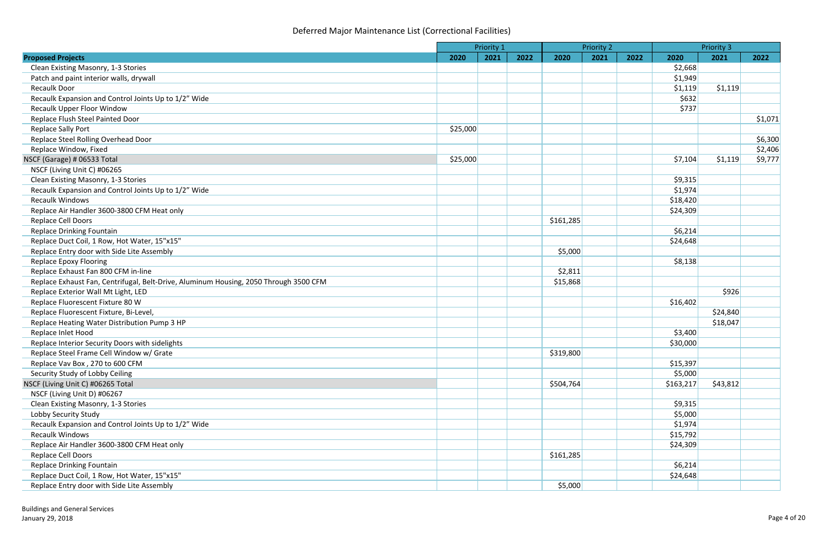| <b>Proposed Projects</b><br>2020<br>2020<br>2021<br>2021<br>2022<br>2022<br>2020<br>2021<br>2022<br>Clean Existing Masonry, 1-3 Stories<br>\$2,668<br>Patch and paint interior walls, drywall<br>\$1,949<br><b>Recaulk Door</b><br>\$1,119<br>\$1,119<br>\$632<br>Recaulk Expansion and Control Joints Up to 1/2" Wide<br>\$737<br>Recaulk Upper Floor Window<br>\$1,071<br>Replace Flush Steel Painted Door<br><b>Replace Sally Port</b><br>\$25,000<br>\$6,300<br>Replace Steel Rolling Overhead Door<br>\$2,406<br>Replace Window, Fixed<br>\$25,000<br>NSCF (Garage) # 06533 Total<br>\$7,104<br>\$1,119<br>\$9,777<br>NSCF (Living Unit C) #06265<br>Clean Existing Masonry, 1-3 Stories<br>\$9,315<br>Recaulk Expansion and Control Joints Up to 1/2" Wide<br>\$1,974<br><b>Recaulk Windows</b><br>\$18,420<br>\$24,309<br>Replace Air Handler 3600-3800 CFM Heat only<br>\$161,285<br><b>Replace Cell Doors</b><br>\$6,214<br>Replace Drinking Fountain<br>Replace Duct Coil, 1 Row, Hot Water, 15"x15"<br>\$24,648<br>\$5,000<br>Replace Entry door with Side Lite Assembly<br>\$8,138<br><b>Replace Epoxy Flooring</b><br>\$2,811<br>Replace Exhaust Fan 800 CFM in-line<br>Replace Exhaust Fan, Centrifugal, Belt-Drive, Aluminum Housing, 2050 Through 3500 CFM<br>\$15,868<br>\$926<br>Replace Exterior Wall Mt Light, LED<br>Replace Fluorescent Fixture 80 W<br>\$16,402<br>\$24,840<br>Replace Fluorescent Fixture, Bi-Level,<br>Replace Heating Water Distribution Pump 3 HP<br>\$18,047<br>\$3,400<br>Replace Inlet Hood<br>\$30,000<br>Replace Interior Security Doors with sidelights<br>\$319,800<br>Replace Steel Frame Cell Window w/ Grate<br>Replace Vav Box, 270 to 600 CFM<br>\$15,397<br>\$5,000<br>Security Study of Lobby Ceiling<br>\$504,764<br>\$43,812<br>\$163,217<br>NSCF (Living Unit C) #06265 Total<br>NSCF (Living Unit D) #06267<br>Clean Existing Masonry, 1-3 Stories<br>\$9,315<br>\$5,000<br>Lobby Security Study<br>Recaulk Expansion and Control Joints Up to 1/2" Wide<br>\$1,974<br>\$15,792<br><b>Recaulk Windows</b><br>Replace Air Handler 3600-3800 CFM Heat only<br>\$24,309<br>\$161,285<br><b>Replace Cell Doors</b><br>Replace Drinking Fountain<br>\$6,214<br>Replace Duct Coil, 1 Row, Hot Water, 15"x15"<br>\$24,648<br>\$5,000 |                                            | Priority 1 |  | <b>Priority 2</b> |  | <b>Priority 3</b> |  |
|--------------------------------------------------------------------------------------------------------------------------------------------------------------------------------------------------------------------------------------------------------------------------------------------------------------------------------------------------------------------------------------------------------------------------------------------------------------------------------------------------------------------------------------------------------------------------------------------------------------------------------------------------------------------------------------------------------------------------------------------------------------------------------------------------------------------------------------------------------------------------------------------------------------------------------------------------------------------------------------------------------------------------------------------------------------------------------------------------------------------------------------------------------------------------------------------------------------------------------------------------------------------------------------------------------------------------------------------------------------------------------------------------------------------------------------------------------------------------------------------------------------------------------------------------------------------------------------------------------------------------------------------------------------------------------------------------------------------------------------------------------------------------------------------------------------------------------------------------------------------------------------------------------------------------------------------------------------------------------------------------------------------------------------------------------------------------------------------------------------------------------------------------------------------------------------------------------------------------------------------------------------------------------------------|--------------------------------------------|------------|--|-------------------|--|-------------------|--|
|                                                                                                                                                                                                                                                                                                                                                                                                                                                                                                                                                                                                                                                                                                                                                                                                                                                                                                                                                                                                                                                                                                                                                                                                                                                                                                                                                                                                                                                                                                                                                                                                                                                                                                                                                                                                                                                                                                                                                                                                                                                                                                                                                                                                                                                                                            |                                            |            |  |                   |  |                   |  |
|                                                                                                                                                                                                                                                                                                                                                                                                                                                                                                                                                                                                                                                                                                                                                                                                                                                                                                                                                                                                                                                                                                                                                                                                                                                                                                                                                                                                                                                                                                                                                                                                                                                                                                                                                                                                                                                                                                                                                                                                                                                                                                                                                                                                                                                                                            |                                            |            |  |                   |  |                   |  |
|                                                                                                                                                                                                                                                                                                                                                                                                                                                                                                                                                                                                                                                                                                                                                                                                                                                                                                                                                                                                                                                                                                                                                                                                                                                                                                                                                                                                                                                                                                                                                                                                                                                                                                                                                                                                                                                                                                                                                                                                                                                                                                                                                                                                                                                                                            |                                            |            |  |                   |  |                   |  |
|                                                                                                                                                                                                                                                                                                                                                                                                                                                                                                                                                                                                                                                                                                                                                                                                                                                                                                                                                                                                                                                                                                                                                                                                                                                                                                                                                                                                                                                                                                                                                                                                                                                                                                                                                                                                                                                                                                                                                                                                                                                                                                                                                                                                                                                                                            |                                            |            |  |                   |  |                   |  |
|                                                                                                                                                                                                                                                                                                                                                                                                                                                                                                                                                                                                                                                                                                                                                                                                                                                                                                                                                                                                                                                                                                                                                                                                                                                                                                                                                                                                                                                                                                                                                                                                                                                                                                                                                                                                                                                                                                                                                                                                                                                                                                                                                                                                                                                                                            |                                            |            |  |                   |  |                   |  |
|                                                                                                                                                                                                                                                                                                                                                                                                                                                                                                                                                                                                                                                                                                                                                                                                                                                                                                                                                                                                                                                                                                                                                                                                                                                                                                                                                                                                                                                                                                                                                                                                                                                                                                                                                                                                                                                                                                                                                                                                                                                                                                                                                                                                                                                                                            |                                            |            |  |                   |  |                   |  |
|                                                                                                                                                                                                                                                                                                                                                                                                                                                                                                                                                                                                                                                                                                                                                                                                                                                                                                                                                                                                                                                                                                                                                                                                                                                                                                                                                                                                                                                                                                                                                                                                                                                                                                                                                                                                                                                                                                                                                                                                                                                                                                                                                                                                                                                                                            |                                            |            |  |                   |  |                   |  |
|                                                                                                                                                                                                                                                                                                                                                                                                                                                                                                                                                                                                                                                                                                                                                                                                                                                                                                                                                                                                                                                                                                                                                                                                                                                                                                                                                                                                                                                                                                                                                                                                                                                                                                                                                                                                                                                                                                                                                                                                                                                                                                                                                                                                                                                                                            |                                            |            |  |                   |  |                   |  |
|                                                                                                                                                                                                                                                                                                                                                                                                                                                                                                                                                                                                                                                                                                                                                                                                                                                                                                                                                                                                                                                                                                                                                                                                                                                                                                                                                                                                                                                                                                                                                                                                                                                                                                                                                                                                                                                                                                                                                                                                                                                                                                                                                                                                                                                                                            |                                            |            |  |                   |  |                   |  |
|                                                                                                                                                                                                                                                                                                                                                                                                                                                                                                                                                                                                                                                                                                                                                                                                                                                                                                                                                                                                                                                                                                                                                                                                                                                                                                                                                                                                                                                                                                                                                                                                                                                                                                                                                                                                                                                                                                                                                                                                                                                                                                                                                                                                                                                                                            |                                            |            |  |                   |  |                   |  |
|                                                                                                                                                                                                                                                                                                                                                                                                                                                                                                                                                                                                                                                                                                                                                                                                                                                                                                                                                                                                                                                                                                                                                                                                                                                                                                                                                                                                                                                                                                                                                                                                                                                                                                                                                                                                                                                                                                                                                                                                                                                                                                                                                                                                                                                                                            |                                            |            |  |                   |  |                   |  |
|                                                                                                                                                                                                                                                                                                                                                                                                                                                                                                                                                                                                                                                                                                                                                                                                                                                                                                                                                                                                                                                                                                                                                                                                                                                                                                                                                                                                                                                                                                                                                                                                                                                                                                                                                                                                                                                                                                                                                                                                                                                                                                                                                                                                                                                                                            |                                            |            |  |                   |  |                   |  |
|                                                                                                                                                                                                                                                                                                                                                                                                                                                                                                                                                                                                                                                                                                                                                                                                                                                                                                                                                                                                                                                                                                                                                                                                                                                                                                                                                                                                                                                                                                                                                                                                                                                                                                                                                                                                                                                                                                                                                                                                                                                                                                                                                                                                                                                                                            |                                            |            |  |                   |  |                   |  |
|                                                                                                                                                                                                                                                                                                                                                                                                                                                                                                                                                                                                                                                                                                                                                                                                                                                                                                                                                                                                                                                                                                                                                                                                                                                                                                                                                                                                                                                                                                                                                                                                                                                                                                                                                                                                                                                                                                                                                                                                                                                                                                                                                                                                                                                                                            |                                            |            |  |                   |  |                   |  |
|                                                                                                                                                                                                                                                                                                                                                                                                                                                                                                                                                                                                                                                                                                                                                                                                                                                                                                                                                                                                                                                                                                                                                                                                                                                                                                                                                                                                                                                                                                                                                                                                                                                                                                                                                                                                                                                                                                                                                                                                                                                                                                                                                                                                                                                                                            |                                            |            |  |                   |  |                   |  |
|                                                                                                                                                                                                                                                                                                                                                                                                                                                                                                                                                                                                                                                                                                                                                                                                                                                                                                                                                                                                                                                                                                                                                                                                                                                                                                                                                                                                                                                                                                                                                                                                                                                                                                                                                                                                                                                                                                                                                                                                                                                                                                                                                                                                                                                                                            |                                            |            |  |                   |  |                   |  |
|                                                                                                                                                                                                                                                                                                                                                                                                                                                                                                                                                                                                                                                                                                                                                                                                                                                                                                                                                                                                                                                                                                                                                                                                                                                                                                                                                                                                                                                                                                                                                                                                                                                                                                                                                                                                                                                                                                                                                                                                                                                                                                                                                                                                                                                                                            |                                            |            |  |                   |  |                   |  |
|                                                                                                                                                                                                                                                                                                                                                                                                                                                                                                                                                                                                                                                                                                                                                                                                                                                                                                                                                                                                                                                                                                                                                                                                                                                                                                                                                                                                                                                                                                                                                                                                                                                                                                                                                                                                                                                                                                                                                                                                                                                                                                                                                                                                                                                                                            |                                            |            |  |                   |  |                   |  |
|                                                                                                                                                                                                                                                                                                                                                                                                                                                                                                                                                                                                                                                                                                                                                                                                                                                                                                                                                                                                                                                                                                                                                                                                                                                                                                                                                                                                                                                                                                                                                                                                                                                                                                                                                                                                                                                                                                                                                                                                                                                                                                                                                                                                                                                                                            |                                            |            |  |                   |  |                   |  |
|                                                                                                                                                                                                                                                                                                                                                                                                                                                                                                                                                                                                                                                                                                                                                                                                                                                                                                                                                                                                                                                                                                                                                                                                                                                                                                                                                                                                                                                                                                                                                                                                                                                                                                                                                                                                                                                                                                                                                                                                                                                                                                                                                                                                                                                                                            |                                            |            |  |                   |  |                   |  |
|                                                                                                                                                                                                                                                                                                                                                                                                                                                                                                                                                                                                                                                                                                                                                                                                                                                                                                                                                                                                                                                                                                                                                                                                                                                                                                                                                                                                                                                                                                                                                                                                                                                                                                                                                                                                                                                                                                                                                                                                                                                                                                                                                                                                                                                                                            |                                            |            |  |                   |  |                   |  |
|                                                                                                                                                                                                                                                                                                                                                                                                                                                                                                                                                                                                                                                                                                                                                                                                                                                                                                                                                                                                                                                                                                                                                                                                                                                                                                                                                                                                                                                                                                                                                                                                                                                                                                                                                                                                                                                                                                                                                                                                                                                                                                                                                                                                                                                                                            |                                            |            |  |                   |  |                   |  |
|                                                                                                                                                                                                                                                                                                                                                                                                                                                                                                                                                                                                                                                                                                                                                                                                                                                                                                                                                                                                                                                                                                                                                                                                                                                                                                                                                                                                                                                                                                                                                                                                                                                                                                                                                                                                                                                                                                                                                                                                                                                                                                                                                                                                                                                                                            |                                            |            |  |                   |  |                   |  |
|                                                                                                                                                                                                                                                                                                                                                                                                                                                                                                                                                                                                                                                                                                                                                                                                                                                                                                                                                                                                                                                                                                                                                                                                                                                                                                                                                                                                                                                                                                                                                                                                                                                                                                                                                                                                                                                                                                                                                                                                                                                                                                                                                                                                                                                                                            |                                            |            |  |                   |  |                   |  |
|                                                                                                                                                                                                                                                                                                                                                                                                                                                                                                                                                                                                                                                                                                                                                                                                                                                                                                                                                                                                                                                                                                                                                                                                                                                                                                                                                                                                                                                                                                                                                                                                                                                                                                                                                                                                                                                                                                                                                                                                                                                                                                                                                                                                                                                                                            |                                            |            |  |                   |  |                   |  |
|                                                                                                                                                                                                                                                                                                                                                                                                                                                                                                                                                                                                                                                                                                                                                                                                                                                                                                                                                                                                                                                                                                                                                                                                                                                                                                                                                                                                                                                                                                                                                                                                                                                                                                                                                                                                                                                                                                                                                                                                                                                                                                                                                                                                                                                                                            |                                            |            |  |                   |  |                   |  |
|                                                                                                                                                                                                                                                                                                                                                                                                                                                                                                                                                                                                                                                                                                                                                                                                                                                                                                                                                                                                                                                                                                                                                                                                                                                                                                                                                                                                                                                                                                                                                                                                                                                                                                                                                                                                                                                                                                                                                                                                                                                                                                                                                                                                                                                                                            |                                            |            |  |                   |  |                   |  |
|                                                                                                                                                                                                                                                                                                                                                                                                                                                                                                                                                                                                                                                                                                                                                                                                                                                                                                                                                                                                                                                                                                                                                                                                                                                                                                                                                                                                                                                                                                                                                                                                                                                                                                                                                                                                                                                                                                                                                                                                                                                                                                                                                                                                                                                                                            |                                            |            |  |                   |  |                   |  |
|                                                                                                                                                                                                                                                                                                                                                                                                                                                                                                                                                                                                                                                                                                                                                                                                                                                                                                                                                                                                                                                                                                                                                                                                                                                                                                                                                                                                                                                                                                                                                                                                                                                                                                                                                                                                                                                                                                                                                                                                                                                                                                                                                                                                                                                                                            |                                            |            |  |                   |  |                   |  |
|                                                                                                                                                                                                                                                                                                                                                                                                                                                                                                                                                                                                                                                                                                                                                                                                                                                                                                                                                                                                                                                                                                                                                                                                                                                                                                                                                                                                                                                                                                                                                                                                                                                                                                                                                                                                                                                                                                                                                                                                                                                                                                                                                                                                                                                                                            |                                            |            |  |                   |  |                   |  |
|                                                                                                                                                                                                                                                                                                                                                                                                                                                                                                                                                                                                                                                                                                                                                                                                                                                                                                                                                                                                                                                                                                                                                                                                                                                                                                                                                                                                                                                                                                                                                                                                                                                                                                                                                                                                                                                                                                                                                                                                                                                                                                                                                                                                                                                                                            |                                            |            |  |                   |  |                   |  |
|                                                                                                                                                                                                                                                                                                                                                                                                                                                                                                                                                                                                                                                                                                                                                                                                                                                                                                                                                                                                                                                                                                                                                                                                                                                                                                                                                                                                                                                                                                                                                                                                                                                                                                                                                                                                                                                                                                                                                                                                                                                                                                                                                                                                                                                                                            |                                            |            |  |                   |  |                   |  |
|                                                                                                                                                                                                                                                                                                                                                                                                                                                                                                                                                                                                                                                                                                                                                                                                                                                                                                                                                                                                                                                                                                                                                                                                                                                                                                                                                                                                                                                                                                                                                                                                                                                                                                                                                                                                                                                                                                                                                                                                                                                                                                                                                                                                                                                                                            |                                            |            |  |                   |  |                   |  |
|                                                                                                                                                                                                                                                                                                                                                                                                                                                                                                                                                                                                                                                                                                                                                                                                                                                                                                                                                                                                                                                                                                                                                                                                                                                                                                                                                                                                                                                                                                                                                                                                                                                                                                                                                                                                                                                                                                                                                                                                                                                                                                                                                                                                                                                                                            |                                            |            |  |                   |  |                   |  |
|                                                                                                                                                                                                                                                                                                                                                                                                                                                                                                                                                                                                                                                                                                                                                                                                                                                                                                                                                                                                                                                                                                                                                                                                                                                                                                                                                                                                                                                                                                                                                                                                                                                                                                                                                                                                                                                                                                                                                                                                                                                                                                                                                                                                                                                                                            |                                            |            |  |                   |  |                   |  |
|                                                                                                                                                                                                                                                                                                                                                                                                                                                                                                                                                                                                                                                                                                                                                                                                                                                                                                                                                                                                                                                                                                                                                                                                                                                                                                                                                                                                                                                                                                                                                                                                                                                                                                                                                                                                                                                                                                                                                                                                                                                                                                                                                                                                                                                                                            |                                            |            |  |                   |  |                   |  |
|                                                                                                                                                                                                                                                                                                                                                                                                                                                                                                                                                                                                                                                                                                                                                                                                                                                                                                                                                                                                                                                                                                                                                                                                                                                                                                                                                                                                                                                                                                                                                                                                                                                                                                                                                                                                                                                                                                                                                                                                                                                                                                                                                                                                                                                                                            |                                            |            |  |                   |  |                   |  |
|                                                                                                                                                                                                                                                                                                                                                                                                                                                                                                                                                                                                                                                                                                                                                                                                                                                                                                                                                                                                                                                                                                                                                                                                                                                                                                                                                                                                                                                                                                                                                                                                                                                                                                                                                                                                                                                                                                                                                                                                                                                                                                                                                                                                                                                                                            |                                            |            |  |                   |  |                   |  |
|                                                                                                                                                                                                                                                                                                                                                                                                                                                                                                                                                                                                                                                                                                                                                                                                                                                                                                                                                                                                                                                                                                                                                                                                                                                                                                                                                                                                                                                                                                                                                                                                                                                                                                                                                                                                                                                                                                                                                                                                                                                                                                                                                                                                                                                                                            |                                            |            |  |                   |  |                   |  |
|                                                                                                                                                                                                                                                                                                                                                                                                                                                                                                                                                                                                                                                                                                                                                                                                                                                                                                                                                                                                                                                                                                                                                                                                                                                                                                                                                                                                                                                                                                                                                                                                                                                                                                                                                                                                                                                                                                                                                                                                                                                                                                                                                                                                                                                                                            |                                            |            |  |                   |  |                   |  |
|                                                                                                                                                                                                                                                                                                                                                                                                                                                                                                                                                                                                                                                                                                                                                                                                                                                                                                                                                                                                                                                                                                                                                                                                                                                                                                                                                                                                                                                                                                                                                                                                                                                                                                                                                                                                                                                                                                                                                                                                                                                                                                                                                                                                                                                                                            |                                            |            |  |                   |  |                   |  |
|                                                                                                                                                                                                                                                                                                                                                                                                                                                                                                                                                                                                                                                                                                                                                                                                                                                                                                                                                                                                                                                                                                                                                                                                                                                                                                                                                                                                                                                                                                                                                                                                                                                                                                                                                                                                                                                                                                                                                                                                                                                                                                                                                                                                                                                                                            |                                            |            |  |                   |  |                   |  |
|                                                                                                                                                                                                                                                                                                                                                                                                                                                                                                                                                                                                                                                                                                                                                                                                                                                                                                                                                                                                                                                                                                                                                                                                                                                                                                                                                                                                                                                                                                                                                                                                                                                                                                                                                                                                                                                                                                                                                                                                                                                                                                                                                                                                                                                                                            | Replace Entry door with Side Lite Assembly |            |  |                   |  |                   |  |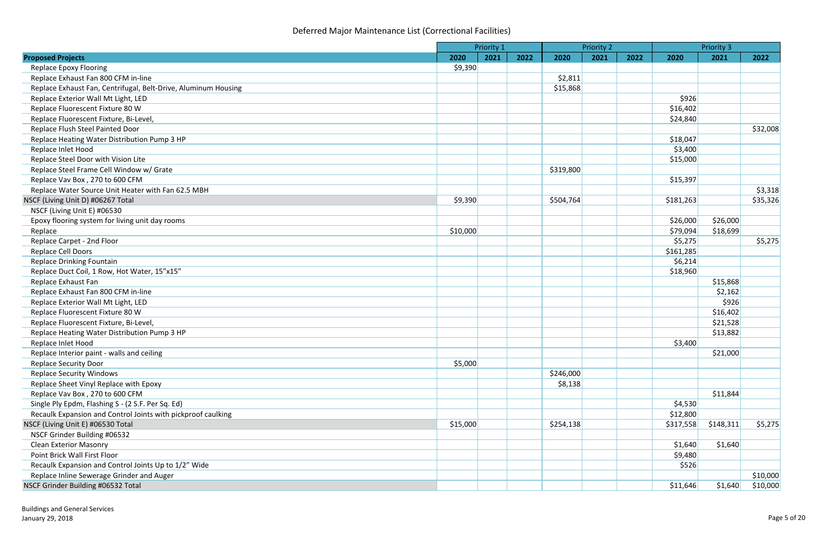|                                                                |          | Priority 1 |      |           | <b>Priority 2</b> |      |           | <b>Priority 3</b> |          |
|----------------------------------------------------------------|----------|------------|------|-----------|-------------------|------|-----------|-------------------|----------|
| <b>Proposed Projects</b>                                       | 2020     | 2021       | 2022 | 2020      | 2021              | 2022 | 2020      | 2021              | 2022     |
| <b>Replace Epoxy Flooring</b>                                  | \$9,390  |            |      |           |                   |      |           |                   |          |
| Replace Exhaust Fan 800 CFM in-line                            |          |            |      | \$2,811   |                   |      |           |                   |          |
| Replace Exhaust Fan, Centrifugal, Belt-Drive, Aluminum Housing |          |            |      | \$15,868  |                   |      |           |                   |          |
| Replace Exterior Wall Mt Light, LED                            |          |            |      |           |                   |      | \$926     |                   |          |
| Replace Fluorescent Fixture 80 W                               |          |            |      |           |                   |      | \$16,402  |                   |          |
| Replace Fluorescent Fixture, Bi-Level,                         |          |            |      |           |                   |      | \$24,840  |                   |          |
| Replace Flush Steel Painted Door                               |          |            |      |           |                   |      |           |                   | \$32,008 |
| Replace Heating Water Distribution Pump 3 HP                   |          |            |      |           |                   |      | \$18,047  |                   |          |
| Replace Inlet Hood                                             |          |            |      |           |                   |      | \$3,400   |                   |          |
| Replace Steel Door with Vision Lite                            |          |            |      |           |                   |      | \$15,000  |                   |          |
| Replace Steel Frame Cell Window w/ Grate                       |          |            |      | \$319,800 |                   |      |           |                   |          |
| Replace Vav Box, 270 to 600 CFM                                |          |            |      |           |                   |      | \$15,397  |                   |          |
| Replace Water Source Unit Heater with Fan 62.5 MBH             |          |            |      |           |                   |      |           |                   | \$3,318  |
| NSCF (Living Unit D) #06267 Total                              | \$9,390  |            |      | \$504,764 |                   |      | \$181,263 |                   | \$35,326 |
| NSCF (Living Unit E) #06530                                    |          |            |      |           |                   |      |           |                   |          |
| Epoxy flooring system for living unit day rooms                |          |            |      |           |                   |      | \$26,000  | \$26,000          |          |
| Replace                                                        | \$10,000 |            |      |           |                   |      | \$79,094  | \$18,699          |          |
| Replace Carpet - 2nd Floor                                     |          |            |      |           |                   |      | \$5,275   |                   | \$5,275  |
| <b>Replace Cell Doors</b>                                      |          |            |      |           |                   |      | \$161,285 |                   |          |
| <b>Replace Drinking Fountain</b>                               |          |            |      |           |                   |      | \$6,214   |                   |          |
| Replace Duct Coil, 1 Row, Hot Water, 15"x15"                   |          |            |      |           |                   |      | \$18,960  |                   |          |
| Replace Exhaust Fan                                            |          |            |      |           |                   |      |           | \$15,868          |          |
| Replace Exhaust Fan 800 CFM in-line                            |          |            |      |           |                   |      |           | \$2,162           |          |
| Replace Exterior Wall Mt Light, LED                            |          |            |      |           |                   |      |           | \$926             |          |
| Replace Fluorescent Fixture 80 W                               |          |            |      |           |                   |      |           | \$16,402          |          |
| Replace Fluorescent Fixture, Bi-Level,                         |          |            |      |           |                   |      |           | \$21,528          |          |
| Replace Heating Water Distribution Pump 3 HP                   |          |            |      |           |                   |      |           | \$13,882          |          |
| Replace Inlet Hood                                             |          |            |      |           |                   |      | \$3,400   |                   |          |
| Replace Interior paint - walls and ceiling                     |          |            |      |           |                   |      |           | \$21,000          |          |
| <b>Replace Security Door</b>                                   | \$5,000  |            |      |           |                   |      |           |                   |          |
| <b>Replace Security Windows</b>                                |          |            |      | \$246,000 |                   |      |           |                   |          |
| Replace Sheet Vinyl Replace with Epoxy                         |          |            |      | \$8,138   |                   |      |           |                   |          |
| Replace Vav Box, 270 to 600 CFM                                |          |            |      |           |                   |      |           | \$11,844          |          |
| Single Ply Epdm, Flashing S - (2 S.F. Per Sq. Ed)              |          |            |      |           |                   |      | \$4,530   |                   |          |
| Recaulk Expansion and Control Joints with pickproof caulking   |          |            |      |           |                   |      | \$12,800  |                   |          |
| NSCF (Living Unit E) #06530 Total                              | \$15,000 |            |      | \$254,138 |                   |      | \$317,558 | \$148,311         | \$5,275  |
| NSCF Grinder Building #06532                                   |          |            |      |           |                   |      |           |                   |          |
| <b>Clean Exterior Masonry</b>                                  |          |            |      |           |                   |      | \$1,640   | \$1,640           |          |
| Point Brick Wall First Floor                                   |          |            |      |           |                   |      | \$9,480   |                   |          |
| Recaulk Expansion and Control Joints Up to 1/2" Wide           |          |            |      |           |                   |      | \$526     |                   |          |
| Replace Inline Sewerage Grinder and Auger                      |          |            |      |           |                   |      |           |                   | \$10,000 |
| NSCF Grinder Building #06532 Total                             |          |            |      |           |                   |      | \$11,646  | \$1,640           | \$10,000 |
|                                                                |          |            |      |           |                   |      |           |                   |          |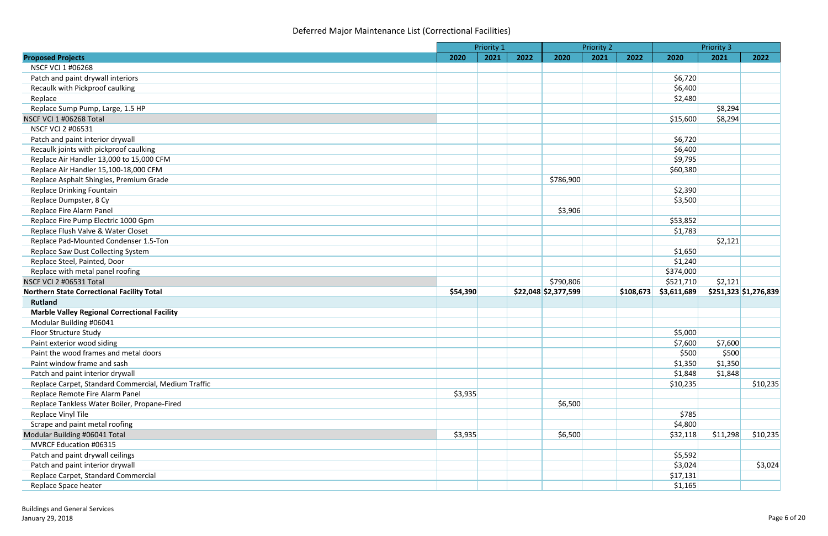|                                                     |          | Priority 1 |      |                      | <b>Priority 2</b> |           |             | <b>Priority 3</b>     |          |
|-----------------------------------------------------|----------|------------|------|----------------------|-------------------|-----------|-------------|-----------------------|----------|
| <b>Proposed Projects</b>                            | 2020     | 2021       | 2022 | 2020                 | 2021              | 2022      | 2020        | 2021                  | 2022     |
| <b>NSCF VCI 1 #06268</b>                            |          |            |      |                      |                   |           |             |                       |          |
| Patch and paint drywall interiors                   |          |            |      |                      |                   |           | \$6,720     |                       |          |
| Recaulk with Pickproof caulking                     |          |            |      |                      |                   |           | \$6,400     |                       |          |
| Replace                                             |          |            |      |                      |                   |           | \$2,480     |                       |          |
| Replace Sump Pump, Large, 1.5 HP                    |          |            |      |                      |                   |           |             | \$8,294               |          |
| <b>NSCF VCI 1 #06268 Total</b>                      |          |            |      |                      |                   |           | \$15,600    | \$8,294               |          |
| <b>NSCF VCI 2 #06531</b>                            |          |            |      |                      |                   |           |             |                       |          |
| Patch and paint interior drywall                    |          |            |      |                      |                   |           | \$6,720     |                       |          |
| Recaulk joints with pickproof caulking              |          |            |      |                      |                   |           | \$6,400     |                       |          |
| Replace Air Handler 13,000 to 15,000 CFM            |          |            |      |                      |                   |           | \$9,795     |                       |          |
| Replace Air Handler 15,100-18,000 CFM               |          |            |      |                      |                   |           | \$60,380    |                       |          |
| Replace Asphalt Shingles, Premium Grade             |          |            |      | \$786,900            |                   |           |             |                       |          |
| Replace Drinking Fountain                           |          |            |      |                      |                   |           | \$2,390     |                       |          |
| Replace Dumpster, 8 Cy                              |          |            |      |                      |                   |           | \$3,500     |                       |          |
| Replace Fire Alarm Panel                            |          |            |      | \$3,906              |                   |           |             |                       |          |
| Replace Fire Pump Electric 1000 Gpm                 |          |            |      |                      |                   |           | \$53,852    |                       |          |
| Replace Flush Valve & Water Closet                  |          |            |      |                      |                   |           | \$1,783     |                       |          |
| Replace Pad-Mounted Condenser 1.5-Ton               |          |            |      |                      |                   |           |             | \$2,121               |          |
| Replace Saw Dust Collecting System                  |          |            |      |                      |                   |           | \$1,650     |                       |          |
| Replace Steel, Painted, Door                        |          |            |      |                      |                   |           | \$1,240     |                       |          |
| Replace with metal panel roofing                    |          |            |      |                      |                   |           | \$374,000   |                       |          |
| NSCF VCI 2 #06531 Total                             |          |            |      | \$790,806            |                   |           | \$521,710   | \$2,121               |          |
| <b>Northern State Correctional Facility Total</b>   | \$54,390 |            |      | \$22,048 \$2,377,599 |                   | \$108,673 | \$3,611,689 | \$251,323 \$1,276,839 |          |
| <b>Rutland</b>                                      |          |            |      |                      |                   |           |             |                       |          |
| <b>Marble Valley Regional Correctional Facility</b> |          |            |      |                      |                   |           |             |                       |          |
| Modular Building #06041                             |          |            |      |                      |                   |           |             |                       |          |
| Floor Structure Study                               |          |            |      |                      |                   |           | \$5,000     |                       |          |
| Paint exterior wood siding                          |          |            |      |                      |                   |           | \$7,600     | \$7,600               |          |
| Paint the wood frames and metal doors               |          |            |      |                      |                   |           | \$500       | \$500                 |          |
| Paint window frame and sash                         |          |            |      |                      |                   |           | \$1,350     | \$1,350               |          |
| Patch and paint interior drywall                    |          |            |      |                      |                   |           | \$1,848     | \$1,848               |          |
| Replace Carpet, Standard Commercial, Medium Traffic |          |            |      |                      |                   |           | \$10,235    |                       | \$10,235 |
| Replace Remote Fire Alarm Panel                     | \$3,935  |            |      |                      |                   |           |             |                       |          |
| Replace Tankless Water Boiler, Propane-Fired        |          |            |      | \$6,500              |                   |           |             |                       |          |
| Replace Vinyl Tile                                  |          |            |      |                      |                   |           | \$785       |                       |          |
| Scrape and paint metal roofing                      |          |            |      |                      |                   |           | \$4,800     |                       |          |
| Modular Building #06041 Total                       | \$3,935  |            |      | \$6,500              |                   |           | \$32,118    | \$11,298              | \$10,235 |
| MVRCF Education #06315                              |          |            |      |                      |                   |           |             |                       |          |
| Patch and paint drywall ceilings                    |          |            |      |                      |                   |           | \$5,592     |                       |          |
| Patch and paint interior drywall                    |          |            |      |                      |                   |           | \$3,024     |                       | \$3,024  |
| Replace Carpet, Standard Commercial                 |          |            |      |                      |                   |           | \$17,131    |                       |          |
| Replace Space heater                                |          |            |      |                      |                   |           | \$1,165     |                       |          |

Buildings and General Services January 29, <sup>2018</sup> Page <sup>6</sup> of <sup>20</sup>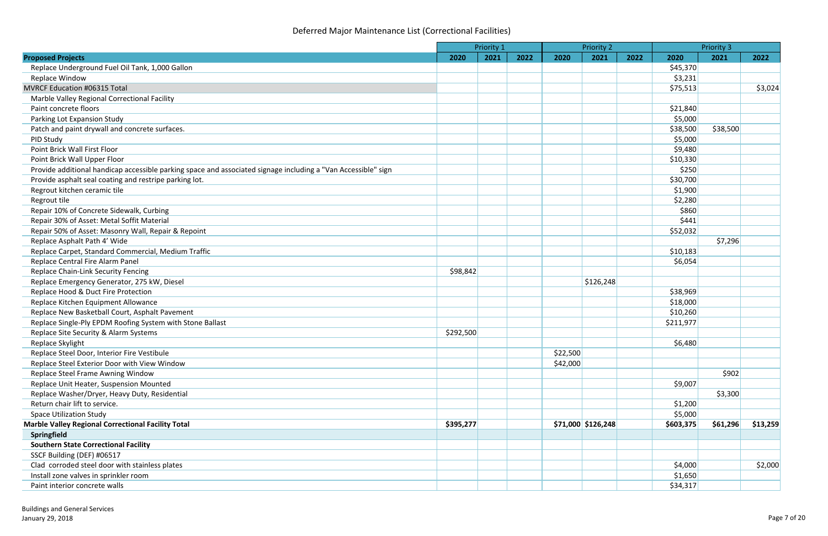|                                                                                                               |           | Priority 1 |      |          | <b>Priority 2</b>  |      |           | <b>Priority 3</b> |          |
|---------------------------------------------------------------------------------------------------------------|-----------|------------|------|----------|--------------------|------|-----------|-------------------|----------|
| <b>Proposed Projects</b>                                                                                      | 2020      | 2021       | 2022 | 2020     | 2021               | 2022 | 2020      | 2021              | 2022     |
| Replace Underground Fuel Oil Tank, 1,000 Gallon                                                               |           |            |      |          |                    |      | \$45,370  |                   |          |
| Replace Window                                                                                                |           |            |      |          |                    |      | \$3,231   |                   |          |
| MVRCF Education #06315 Total                                                                                  |           |            |      |          |                    |      | \$75,513  |                   | \$3,024  |
| Marble Valley Regional Correctional Facility                                                                  |           |            |      |          |                    |      |           |                   |          |
| Paint concrete floors                                                                                         |           |            |      |          |                    |      | \$21,840  |                   |          |
| Parking Lot Expansion Study                                                                                   |           |            |      |          |                    |      | \$5,000   |                   |          |
| Patch and paint drywall and concrete surfaces.                                                                |           |            |      |          |                    |      | \$38,500  | \$38,500          |          |
| PID Study                                                                                                     |           |            |      |          |                    |      | \$5,000   |                   |          |
| Point Brick Wall First Floor                                                                                  |           |            |      |          |                    |      | \$9,480   |                   |          |
| Point Brick Wall Upper Floor                                                                                  |           |            |      |          |                    |      | \$10,330  |                   |          |
| Provide additional handicap accessible parking space and associated signage including a "Van Accessible" sign |           |            |      |          |                    |      | \$250     |                   |          |
| Provide asphalt seal coating and restripe parking lot.                                                        |           |            |      |          |                    |      | \$30,700  |                   |          |
| Regrout kitchen ceramic tile                                                                                  |           |            |      |          |                    |      | \$1,900   |                   |          |
| Regrout tile                                                                                                  |           |            |      |          |                    |      | \$2,280   |                   |          |
| Repair 10% of Concrete Sidewalk, Curbing                                                                      |           |            |      |          |                    |      | \$860     |                   |          |
| Repair 30% of Asset: Metal Soffit Material                                                                    |           |            |      |          |                    |      | \$441     |                   |          |
| Repair 50% of Asset: Masonry Wall, Repair & Repoint                                                           |           |            |      |          |                    |      | \$52,032  |                   |          |
| Replace Asphalt Path 4' Wide                                                                                  |           |            |      |          |                    |      |           | \$7,296           |          |
| Replace Carpet, Standard Commercial, Medium Traffic                                                           |           |            |      |          |                    |      | \$10,183  |                   |          |
| Replace Central Fire Alarm Panel                                                                              |           |            |      |          |                    |      | \$6,054   |                   |          |
| Replace Chain-Link Security Fencing                                                                           | \$98,842  |            |      |          |                    |      |           |                   |          |
| Replace Emergency Generator, 275 kW, Diesel                                                                   |           |            |      |          | \$126,248          |      |           |                   |          |
| Replace Hood & Duct Fire Protection                                                                           |           |            |      |          |                    |      | \$38,969  |                   |          |
| Replace Kitchen Equipment Allowance                                                                           |           |            |      |          |                    |      | \$18,000  |                   |          |
| Replace New Basketball Court, Asphalt Pavement                                                                |           |            |      |          |                    |      | \$10,260  |                   |          |
| Replace Single-Ply EPDM Roofing System with Stone Ballast                                                     |           |            |      |          |                    |      | \$211,977 |                   |          |
| Replace Site Security & Alarm Systems                                                                         | \$292,500 |            |      |          |                    |      |           |                   |          |
| Replace Skylight                                                                                              |           |            |      |          |                    |      | \$6,480   |                   |          |
| Replace Steel Door, Interior Fire Vestibule                                                                   |           |            |      | \$22,500 |                    |      |           |                   |          |
| Replace Steel Exterior Door with View Window                                                                  |           |            |      | \$42,000 |                    |      |           |                   |          |
| Replace Steel Frame Awning Window                                                                             |           |            |      |          |                    |      |           | \$902             |          |
| Replace Unit Heater, Suspension Mounted                                                                       |           |            |      |          |                    |      | \$9,007   |                   |          |
| Replace Washer/Dryer, Heavy Duty, Residential                                                                 |           |            |      |          |                    |      |           | \$3,300           |          |
| Return chair lift to service.                                                                                 |           |            |      |          |                    |      | \$1,200   |                   |          |
| <b>Space Utilization Study</b>                                                                                |           |            |      |          |                    |      | \$5,000   |                   |          |
| <b>Marble Valley Regional Correctional Facility Total</b>                                                     | \$395,277 |            |      |          | \$71,000 \$126,248 |      | \$603,375 | \$61,296          | \$13,259 |
| <b>Springfield</b>                                                                                            |           |            |      |          |                    |      |           |                   |          |
| <b>Southern State Correctional Facility</b>                                                                   |           |            |      |          |                    |      |           |                   |          |
| SSCF Building (DEF) #06517                                                                                    |           |            |      |          |                    |      |           |                   |          |
| Clad corroded steel door with stainless plates                                                                |           |            |      |          |                    |      | \$4,000   |                   | \$2,000  |
| Install zone valves in sprinkler room                                                                         |           |            |      |          |                    |      | \$1,650   |                   |          |
| Paint interior concrete walls                                                                                 |           |            |      |          |                    |      | \$34,317  |                   |          |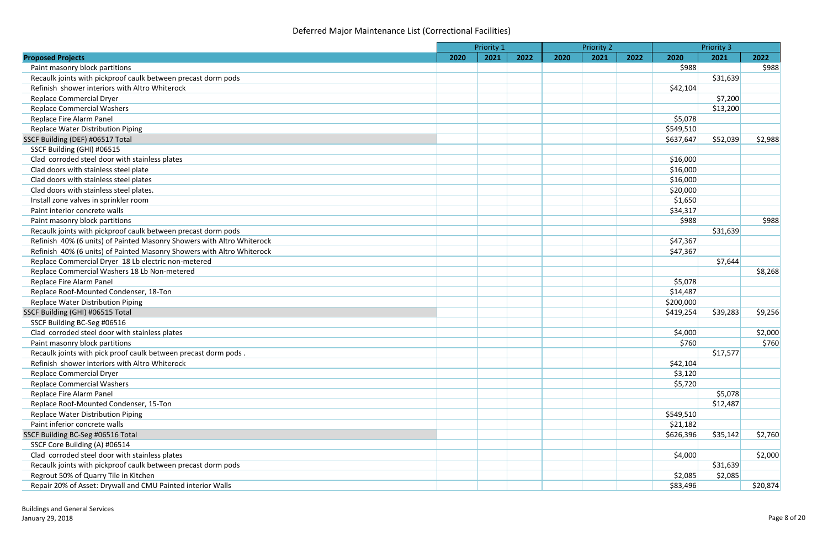|                                                                                                 | 2020 | Priority 1<br>2021 | 2022 | 2020 | <b>Priority 2</b><br>2021 |      | 2020      | <b>Priority 3</b><br>2021 |               |
|-------------------------------------------------------------------------------------------------|------|--------------------|------|------|---------------------------|------|-----------|---------------------------|---------------|
| <b>Proposed Projects</b>                                                                        |      |                    |      |      |                           | 2022 | \$988     |                           | 2022<br>\$988 |
| Paint masonry block partitions<br>Recaulk joints with pickproof caulk between precast dorm pods |      |                    |      |      |                           |      |           | \$31,639                  |               |
| Refinish shower interiors with Altro Whiterock                                                  |      |                    |      |      |                           |      | \$42,104  |                           |               |
|                                                                                                 |      |                    |      |      |                           |      |           |                           |               |
| <b>Replace Commercial Dryer</b>                                                                 |      |                    |      |      |                           |      |           | \$7,200                   |               |
| <b>Replace Commercial Washers</b>                                                               |      |                    |      |      |                           |      |           | \$13,200                  |               |
| Replace Fire Alarm Panel                                                                        |      |                    |      |      |                           |      | \$5,078   |                           |               |
| <b>Replace Water Distribution Piping</b>                                                        |      |                    |      |      |                           |      | \$549,510 |                           |               |
| SSCF Building (DEF) #06517 Total                                                                |      |                    |      |      |                           |      | \$637,647 | \$52,039                  | \$2,988       |
| SSCF Building (GHI) #06515                                                                      |      |                    |      |      |                           |      |           |                           |               |
| Clad corroded steel door with stainless plates                                                  |      |                    |      |      |                           |      | \$16,000  |                           |               |
| Clad doors with stainless steel plate                                                           |      |                    |      |      |                           |      | \$16,000  |                           |               |
| Clad doors with stainless steel plates                                                          |      |                    |      |      |                           |      | \$16,000  |                           |               |
| Clad doors with stainless steel plates.                                                         |      |                    |      |      |                           |      | \$20,000  |                           |               |
| Install zone valves in sprinkler room                                                           |      |                    |      |      |                           |      | \$1,650   |                           |               |
| Paint interior concrete walls                                                                   |      |                    |      |      |                           |      | \$34,317  |                           |               |
| Paint masonry block partitions                                                                  |      |                    |      |      |                           |      | \$988     |                           | \$988         |
| Recaulk joints with pickproof caulk between precast dorm pods                                   |      |                    |      |      |                           |      |           | \$31,639                  |               |
| Refinish 40% (6 units) of Painted Masonry Showers with Altro Whiterock                          |      |                    |      |      |                           |      | \$47,367  |                           |               |
| Refinish 40% (6 units) of Painted Masonry Showers with Altro Whiterock                          |      |                    |      |      |                           |      | \$47,367  |                           |               |
| Replace Commercial Dryer 18 Lb electric non-metered                                             |      |                    |      |      |                           |      |           | \$7,644                   |               |
| Replace Commercial Washers 18 Lb Non-metered                                                    |      |                    |      |      |                           |      |           |                           | \$8,268       |
| Replace Fire Alarm Panel                                                                        |      |                    |      |      |                           |      | \$5,078   |                           |               |
| Replace Roof-Mounted Condenser, 18-Ton                                                          |      |                    |      |      |                           |      | \$14,487  |                           |               |
| Replace Water Distribution Piping                                                               |      |                    |      |      |                           |      | \$200,000 |                           |               |
| SSCF Building (GHI) #06515 Total                                                                |      |                    |      |      |                           |      | \$419,254 | \$39,283                  | \$9,256       |
| SSCF Building BC-Seg #06516                                                                     |      |                    |      |      |                           |      |           |                           |               |
| Clad corroded steel door with stainless plates                                                  |      |                    |      |      |                           |      | \$4,000   |                           | \$2,000       |
| Paint masonry block partitions                                                                  |      |                    |      |      |                           |      | \$760     |                           | \$760         |
| Recaulk joints with pick proof caulk between precast dorm pods.                                 |      |                    |      |      |                           |      |           | \$17,577                  |               |
| Refinish shower interiors with Altro Whiterock                                                  |      |                    |      |      |                           |      | \$42,104  |                           |               |
| <b>Replace Commercial Dryer</b>                                                                 |      |                    |      |      |                           |      | \$3,120   |                           |               |
| <b>Replace Commercial Washers</b>                                                               |      |                    |      |      |                           |      | \$5,720   |                           |               |
| Replace Fire Alarm Panel                                                                        |      |                    |      |      |                           |      |           | \$5,078                   |               |
| Replace Roof-Mounted Condenser, 15-Ton                                                          |      |                    |      |      |                           |      |           | \$12,487                  |               |
| Replace Water Distribution Piping                                                               |      |                    |      |      |                           |      | \$549,510 |                           |               |
| Paint inferior concrete walls                                                                   |      |                    |      |      |                           |      | \$21,182  |                           |               |
| SSCF Building BC-Seg #06516 Total                                                               |      |                    |      |      |                           |      | \$626,396 | \$35,142                  | \$2,760       |
| SSCF Core Building (A) #06514                                                                   |      |                    |      |      |                           |      |           |                           |               |
| Clad corroded steel door with stainless plates                                                  |      |                    |      |      |                           |      | \$4,000   |                           | \$2,000       |
| Recaulk joints with pickproof caulk between precast dorm pods                                   |      |                    |      |      |                           |      |           | \$31,639                  |               |
| Regrout 50% of Quarry Tile in Kitchen                                                           |      |                    |      |      |                           |      | \$2,085   | \$2,085                   |               |
| Repair 20% of Asset: Drywall and CMU Painted interior Walls                                     |      |                    |      |      |                           |      | \$83,496  |                           | \$20,874      |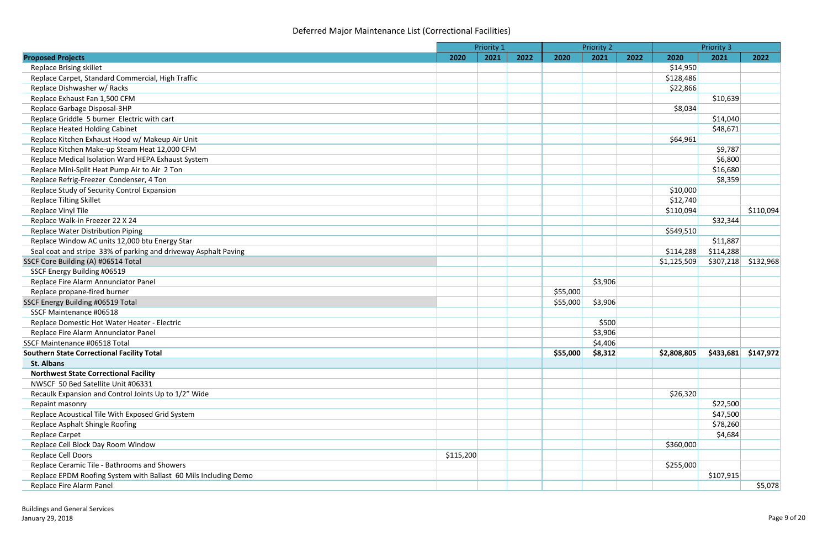| 2020<br>2020<br><b>Proposed Projects</b><br>2021<br>2022<br>2021<br>2022<br>2020<br>2021<br>2022<br><b>Replace Brising skillet</b><br>\$14,950<br>\$128,486<br>Replace Carpet, Standard Commercial, High Traffic<br>\$22,866<br>Replace Dishwasher w/ Racks<br>\$10,639<br>Replace Exhaust Fan 1,500 CFM<br>Replace Garbage Disposal-3HP<br>\$8,034<br>\$14,040<br>Replace Griddle 5 burner Electric with cart<br>\$48,671<br>Replace Heated Holding Cabinet<br>\$64,961<br>Replace Kitchen Exhaust Hood w/ Makeup Air Unit<br>\$9,787<br>Replace Kitchen Make-up Steam Heat 12,000 CFM<br>\$6,800<br>Replace Medical Isolation Ward HEPA Exhaust System<br>\$16,680<br>Replace Mini-Split Heat Pump Air to Air 2 Ton<br>Replace Refrig-Freezer Condenser, 4 Ton<br>\$8,359<br>Replace Study of Security Control Expansion<br>\$10,000<br>\$12,740<br><b>Replace Tilting Skillet</b><br>\$110,094<br>\$110,094<br>Replace Vinyl Tile<br>Replace Walk-in Freezer 22 X 24<br>\$32,344<br>\$549,510<br>Replace Water Distribution Piping<br>Replace Window AC units 12,000 btu Energy Star<br>\$11,887<br>\$114,288<br>\$114,288<br>Seal coat and stripe 33% of parking and driveway Asphalt Paving<br>SSCF Core Building (A) #06514 Total<br>\$307,218<br>\$132,968<br>\$1,125,509<br>SSCF Energy Building #06519<br>\$3,906<br>Replace Fire Alarm Annunciator Panel<br>\$55,000<br>Replace propane-fired burner<br>\$3,906<br>SSCF Energy Building #06519 Total<br>\$55,000<br>SSCF Maintenance #06518<br>\$500<br>Replace Domestic Hot Water Heater - Electric<br>\$3,906<br>Replace Fire Alarm Annunciator Panel<br>\$4,406<br>SSCF Maintenance #06518 Total<br>\$8,312<br>\$147,972<br>\$55,000<br>\$2,808,805<br>\$433,681<br><b>Southern State Correctional Facility Total</b><br><b>St. Albans</b><br><b>Northwest State Correctional Facility</b><br>NWSCF 50 Bed Satellite Unit #06331<br>\$26,320<br>Recaulk Expansion and Control Joints Up to 1/2" Wide<br>\$22,500<br>Repaint masonry<br>\$47,500<br>Replace Acoustical Tile With Exposed Grid System<br>\$78,260<br>Replace Asphalt Shingle Roofing<br>\$4,684<br><b>Replace Carpet</b><br>Replace Cell Block Day Room Window<br>\$360,000<br>\$115,200<br><b>Replace Cell Doors</b><br>Replace Ceramic Tile - Bathrooms and Showers<br>\$255,000<br>\$107,915<br>Replace EPDM Roofing System with Ballast 60 Mils Including Demo |                          | Priority 1 |  | <b>Priority 2</b> |  |  | <b>Priority 3</b> |  |  |         |
|-----------------------------------------------------------------------------------------------------------------------------------------------------------------------------------------------------------------------------------------------------------------------------------------------------------------------------------------------------------------------------------------------------------------------------------------------------------------------------------------------------------------------------------------------------------------------------------------------------------------------------------------------------------------------------------------------------------------------------------------------------------------------------------------------------------------------------------------------------------------------------------------------------------------------------------------------------------------------------------------------------------------------------------------------------------------------------------------------------------------------------------------------------------------------------------------------------------------------------------------------------------------------------------------------------------------------------------------------------------------------------------------------------------------------------------------------------------------------------------------------------------------------------------------------------------------------------------------------------------------------------------------------------------------------------------------------------------------------------------------------------------------------------------------------------------------------------------------------------------------------------------------------------------------------------------------------------------------------------------------------------------------------------------------------------------------------------------------------------------------------------------------------------------------------------------------------------------------------------------------------------------------------------------------------------------------------------------------------------------------------------------------------|--------------------------|------------|--|-------------------|--|--|-------------------|--|--|---------|
|                                                                                                                                                                                                                                                                                                                                                                                                                                                                                                                                                                                                                                                                                                                                                                                                                                                                                                                                                                                                                                                                                                                                                                                                                                                                                                                                                                                                                                                                                                                                                                                                                                                                                                                                                                                                                                                                                                                                                                                                                                                                                                                                                                                                                                                                                                                                                                                               |                          |            |  |                   |  |  |                   |  |  |         |
|                                                                                                                                                                                                                                                                                                                                                                                                                                                                                                                                                                                                                                                                                                                                                                                                                                                                                                                                                                                                                                                                                                                                                                                                                                                                                                                                                                                                                                                                                                                                                                                                                                                                                                                                                                                                                                                                                                                                                                                                                                                                                                                                                                                                                                                                                                                                                                                               |                          |            |  |                   |  |  |                   |  |  |         |
|                                                                                                                                                                                                                                                                                                                                                                                                                                                                                                                                                                                                                                                                                                                                                                                                                                                                                                                                                                                                                                                                                                                                                                                                                                                                                                                                                                                                                                                                                                                                                                                                                                                                                                                                                                                                                                                                                                                                                                                                                                                                                                                                                                                                                                                                                                                                                                                               |                          |            |  |                   |  |  |                   |  |  |         |
|                                                                                                                                                                                                                                                                                                                                                                                                                                                                                                                                                                                                                                                                                                                                                                                                                                                                                                                                                                                                                                                                                                                                                                                                                                                                                                                                                                                                                                                                                                                                                                                                                                                                                                                                                                                                                                                                                                                                                                                                                                                                                                                                                                                                                                                                                                                                                                                               |                          |            |  |                   |  |  |                   |  |  |         |
|                                                                                                                                                                                                                                                                                                                                                                                                                                                                                                                                                                                                                                                                                                                                                                                                                                                                                                                                                                                                                                                                                                                                                                                                                                                                                                                                                                                                                                                                                                                                                                                                                                                                                                                                                                                                                                                                                                                                                                                                                                                                                                                                                                                                                                                                                                                                                                                               |                          |            |  |                   |  |  |                   |  |  |         |
|                                                                                                                                                                                                                                                                                                                                                                                                                                                                                                                                                                                                                                                                                                                                                                                                                                                                                                                                                                                                                                                                                                                                                                                                                                                                                                                                                                                                                                                                                                                                                                                                                                                                                                                                                                                                                                                                                                                                                                                                                                                                                                                                                                                                                                                                                                                                                                                               |                          |            |  |                   |  |  |                   |  |  |         |
|                                                                                                                                                                                                                                                                                                                                                                                                                                                                                                                                                                                                                                                                                                                                                                                                                                                                                                                                                                                                                                                                                                                                                                                                                                                                                                                                                                                                                                                                                                                                                                                                                                                                                                                                                                                                                                                                                                                                                                                                                                                                                                                                                                                                                                                                                                                                                                                               |                          |            |  |                   |  |  |                   |  |  |         |
|                                                                                                                                                                                                                                                                                                                                                                                                                                                                                                                                                                                                                                                                                                                                                                                                                                                                                                                                                                                                                                                                                                                                                                                                                                                                                                                                                                                                                                                                                                                                                                                                                                                                                                                                                                                                                                                                                                                                                                                                                                                                                                                                                                                                                                                                                                                                                                                               |                          |            |  |                   |  |  |                   |  |  |         |
|                                                                                                                                                                                                                                                                                                                                                                                                                                                                                                                                                                                                                                                                                                                                                                                                                                                                                                                                                                                                                                                                                                                                                                                                                                                                                                                                                                                                                                                                                                                                                                                                                                                                                                                                                                                                                                                                                                                                                                                                                                                                                                                                                                                                                                                                                                                                                                                               |                          |            |  |                   |  |  |                   |  |  |         |
|                                                                                                                                                                                                                                                                                                                                                                                                                                                                                                                                                                                                                                                                                                                                                                                                                                                                                                                                                                                                                                                                                                                                                                                                                                                                                                                                                                                                                                                                                                                                                                                                                                                                                                                                                                                                                                                                                                                                                                                                                                                                                                                                                                                                                                                                                                                                                                                               |                          |            |  |                   |  |  |                   |  |  |         |
|                                                                                                                                                                                                                                                                                                                                                                                                                                                                                                                                                                                                                                                                                                                                                                                                                                                                                                                                                                                                                                                                                                                                                                                                                                                                                                                                                                                                                                                                                                                                                                                                                                                                                                                                                                                                                                                                                                                                                                                                                                                                                                                                                                                                                                                                                                                                                                                               |                          |            |  |                   |  |  |                   |  |  |         |
|                                                                                                                                                                                                                                                                                                                                                                                                                                                                                                                                                                                                                                                                                                                                                                                                                                                                                                                                                                                                                                                                                                                                                                                                                                                                                                                                                                                                                                                                                                                                                                                                                                                                                                                                                                                                                                                                                                                                                                                                                                                                                                                                                                                                                                                                                                                                                                                               |                          |            |  |                   |  |  |                   |  |  |         |
|                                                                                                                                                                                                                                                                                                                                                                                                                                                                                                                                                                                                                                                                                                                                                                                                                                                                                                                                                                                                                                                                                                                                                                                                                                                                                                                                                                                                                                                                                                                                                                                                                                                                                                                                                                                                                                                                                                                                                                                                                                                                                                                                                                                                                                                                                                                                                                                               |                          |            |  |                   |  |  |                   |  |  |         |
|                                                                                                                                                                                                                                                                                                                                                                                                                                                                                                                                                                                                                                                                                                                                                                                                                                                                                                                                                                                                                                                                                                                                                                                                                                                                                                                                                                                                                                                                                                                                                                                                                                                                                                                                                                                                                                                                                                                                                                                                                                                                                                                                                                                                                                                                                                                                                                                               |                          |            |  |                   |  |  |                   |  |  |         |
|                                                                                                                                                                                                                                                                                                                                                                                                                                                                                                                                                                                                                                                                                                                                                                                                                                                                                                                                                                                                                                                                                                                                                                                                                                                                                                                                                                                                                                                                                                                                                                                                                                                                                                                                                                                                                                                                                                                                                                                                                                                                                                                                                                                                                                                                                                                                                                                               |                          |            |  |                   |  |  |                   |  |  |         |
|                                                                                                                                                                                                                                                                                                                                                                                                                                                                                                                                                                                                                                                                                                                                                                                                                                                                                                                                                                                                                                                                                                                                                                                                                                                                                                                                                                                                                                                                                                                                                                                                                                                                                                                                                                                                                                                                                                                                                                                                                                                                                                                                                                                                                                                                                                                                                                                               |                          |            |  |                   |  |  |                   |  |  |         |
|                                                                                                                                                                                                                                                                                                                                                                                                                                                                                                                                                                                                                                                                                                                                                                                                                                                                                                                                                                                                                                                                                                                                                                                                                                                                                                                                                                                                                                                                                                                                                                                                                                                                                                                                                                                                                                                                                                                                                                                                                                                                                                                                                                                                                                                                                                                                                                                               |                          |            |  |                   |  |  |                   |  |  |         |
|                                                                                                                                                                                                                                                                                                                                                                                                                                                                                                                                                                                                                                                                                                                                                                                                                                                                                                                                                                                                                                                                                                                                                                                                                                                                                                                                                                                                                                                                                                                                                                                                                                                                                                                                                                                                                                                                                                                                                                                                                                                                                                                                                                                                                                                                                                                                                                                               |                          |            |  |                   |  |  |                   |  |  |         |
|                                                                                                                                                                                                                                                                                                                                                                                                                                                                                                                                                                                                                                                                                                                                                                                                                                                                                                                                                                                                                                                                                                                                                                                                                                                                                                                                                                                                                                                                                                                                                                                                                                                                                                                                                                                                                                                                                                                                                                                                                                                                                                                                                                                                                                                                                                                                                                                               |                          |            |  |                   |  |  |                   |  |  |         |
|                                                                                                                                                                                                                                                                                                                                                                                                                                                                                                                                                                                                                                                                                                                                                                                                                                                                                                                                                                                                                                                                                                                                                                                                                                                                                                                                                                                                                                                                                                                                                                                                                                                                                                                                                                                                                                                                                                                                                                                                                                                                                                                                                                                                                                                                                                                                                                                               |                          |            |  |                   |  |  |                   |  |  |         |
|                                                                                                                                                                                                                                                                                                                                                                                                                                                                                                                                                                                                                                                                                                                                                                                                                                                                                                                                                                                                                                                                                                                                                                                                                                                                                                                                                                                                                                                                                                                                                                                                                                                                                                                                                                                                                                                                                                                                                                                                                                                                                                                                                                                                                                                                                                                                                                                               |                          |            |  |                   |  |  |                   |  |  |         |
|                                                                                                                                                                                                                                                                                                                                                                                                                                                                                                                                                                                                                                                                                                                                                                                                                                                                                                                                                                                                                                                                                                                                                                                                                                                                                                                                                                                                                                                                                                                                                                                                                                                                                                                                                                                                                                                                                                                                                                                                                                                                                                                                                                                                                                                                                                                                                                                               |                          |            |  |                   |  |  |                   |  |  |         |
|                                                                                                                                                                                                                                                                                                                                                                                                                                                                                                                                                                                                                                                                                                                                                                                                                                                                                                                                                                                                                                                                                                                                                                                                                                                                                                                                                                                                                                                                                                                                                                                                                                                                                                                                                                                                                                                                                                                                                                                                                                                                                                                                                                                                                                                                                                                                                                                               |                          |            |  |                   |  |  |                   |  |  |         |
|                                                                                                                                                                                                                                                                                                                                                                                                                                                                                                                                                                                                                                                                                                                                                                                                                                                                                                                                                                                                                                                                                                                                                                                                                                                                                                                                                                                                                                                                                                                                                                                                                                                                                                                                                                                                                                                                                                                                                                                                                                                                                                                                                                                                                                                                                                                                                                                               |                          |            |  |                   |  |  |                   |  |  |         |
|                                                                                                                                                                                                                                                                                                                                                                                                                                                                                                                                                                                                                                                                                                                                                                                                                                                                                                                                                                                                                                                                                                                                                                                                                                                                                                                                                                                                                                                                                                                                                                                                                                                                                                                                                                                                                                                                                                                                                                                                                                                                                                                                                                                                                                                                                                                                                                                               |                          |            |  |                   |  |  |                   |  |  |         |
|                                                                                                                                                                                                                                                                                                                                                                                                                                                                                                                                                                                                                                                                                                                                                                                                                                                                                                                                                                                                                                                                                                                                                                                                                                                                                                                                                                                                                                                                                                                                                                                                                                                                                                                                                                                                                                                                                                                                                                                                                                                                                                                                                                                                                                                                                                                                                                                               |                          |            |  |                   |  |  |                   |  |  |         |
|                                                                                                                                                                                                                                                                                                                                                                                                                                                                                                                                                                                                                                                                                                                                                                                                                                                                                                                                                                                                                                                                                                                                                                                                                                                                                                                                                                                                                                                                                                                                                                                                                                                                                                                                                                                                                                                                                                                                                                                                                                                                                                                                                                                                                                                                                                                                                                                               |                          |            |  |                   |  |  |                   |  |  |         |
|                                                                                                                                                                                                                                                                                                                                                                                                                                                                                                                                                                                                                                                                                                                                                                                                                                                                                                                                                                                                                                                                                                                                                                                                                                                                                                                                                                                                                                                                                                                                                                                                                                                                                                                                                                                                                                                                                                                                                                                                                                                                                                                                                                                                                                                                                                                                                                                               |                          |            |  |                   |  |  |                   |  |  |         |
|                                                                                                                                                                                                                                                                                                                                                                                                                                                                                                                                                                                                                                                                                                                                                                                                                                                                                                                                                                                                                                                                                                                                                                                                                                                                                                                                                                                                                                                                                                                                                                                                                                                                                                                                                                                                                                                                                                                                                                                                                                                                                                                                                                                                                                                                                                                                                                                               |                          |            |  |                   |  |  |                   |  |  |         |
|                                                                                                                                                                                                                                                                                                                                                                                                                                                                                                                                                                                                                                                                                                                                                                                                                                                                                                                                                                                                                                                                                                                                                                                                                                                                                                                                                                                                                                                                                                                                                                                                                                                                                                                                                                                                                                                                                                                                                                                                                                                                                                                                                                                                                                                                                                                                                                                               |                          |            |  |                   |  |  |                   |  |  |         |
|                                                                                                                                                                                                                                                                                                                                                                                                                                                                                                                                                                                                                                                                                                                                                                                                                                                                                                                                                                                                                                                                                                                                                                                                                                                                                                                                                                                                                                                                                                                                                                                                                                                                                                                                                                                                                                                                                                                                                                                                                                                                                                                                                                                                                                                                                                                                                                                               |                          |            |  |                   |  |  |                   |  |  |         |
|                                                                                                                                                                                                                                                                                                                                                                                                                                                                                                                                                                                                                                                                                                                                                                                                                                                                                                                                                                                                                                                                                                                                                                                                                                                                                                                                                                                                                                                                                                                                                                                                                                                                                                                                                                                                                                                                                                                                                                                                                                                                                                                                                                                                                                                                                                                                                                                               |                          |            |  |                   |  |  |                   |  |  |         |
|                                                                                                                                                                                                                                                                                                                                                                                                                                                                                                                                                                                                                                                                                                                                                                                                                                                                                                                                                                                                                                                                                                                                                                                                                                                                                                                                                                                                                                                                                                                                                                                                                                                                                                                                                                                                                                                                                                                                                                                                                                                                                                                                                                                                                                                                                                                                                                                               |                          |            |  |                   |  |  |                   |  |  |         |
|                                                                                                                                                                                                                                                                                                                                                                                                                                                                                                                                                                                                                                                                                                                                                                                                                                                                                                                                                                                                                                                                                                                                                                                                                                                                                                                                                                                                                                                                                                                                                                                                                                                                                                                                                                                                                                                                                                                                                                                                                                                                                                                                                                                                                                                                                                                                                                                               |                          |            |  |                   |  |  |                   |  |  |         |
|                                                                                                                                                                                                                                                                                                                                                                                                                                                                                                                                                                                                                                                                                                                                                                                                                                                                                                                                                                                                                                                                                                                                                                                                                                                                                                                                                                                                                                                                                                                                                                                                                                                                                                                                                                                                                                                                                                                                                                                                                                                                                                                                                                                                                                                                                                                                                                                               |                          |            |  |                   |  |  |                   |  |  |         |
|                                                                                                                                                                                                                                                                                                                                                                                                                                                                                                                                                                                                                                                                                                                                                                                                                                                                                                                                                                                                                                                                                                                                                                                                                                                                                                                                                                                                                                                                                                                                                                                                                                                                                                                                                                                                                                                                                                                                                                                                                                                                                                                                                                                                                                                                                                                                                                                               |                          |            |  |                   |  |  |                   |  |  |         |
|                                                                                                                                                                                                                                                                                                                                                                                                                                                                                                                                                                                                                                                                                                                                                                                                                                                                                                                                                                                                                                                                                                                                                                                                                                                                                                                                                                                                                                                                                                                                                                                                                                                                                                                                                                                                                                                                                                                                                                                                                                                                                                                                                                                                                                                                                                                                                                                               |                          |            |  |                   |  |  |                   |  |  |         |
|                                                                                                                                                                                                                                                                                                                                                                                                                                                                                                                                                                                                                                                                                                                                                                                                                                                                                                                                                                                                                                                                                                                                                                                                                                                                                                                                                                                                                                                                                                                                                                                                                                                                                                                                                                                                                                                                                                                                                                                                                                                                                                                                                                                                                                                                                                                                                                                               |                          |            |  |                   |  |  |                   |  |  |         |
|                                                                                                                                                                                                                                                                                                                                                                                                                                                                                                                                                                                                                                                                                                                                                                                                                                                                                                                                                                                                                                                                                                                                                                                                                                                                                                                                                                                                                                                                                                                                                                                                                                                                                                                                                                                                                                                                                                                                                                                                                                                                                                                                                                                                                                                                                                                                                                                               |                          |            |  |                   |  |  |                   |  |  |         |
|                                                                                                                                                                                                                                                                                                                                                                                                                                                                                                                                                                                                                                                                                                                                                                                                                                                                                                                                                                                                                                                                                                                                                                                                                                                                                                                                                                                                                                                                                                                                                                                                                                                                                                                                                                                                                                                                                                                                                                                                                                                                                                                                                                                                                                                                                                                                                                                               |                          |            |  |                   |  |  |                   |  |  |         |
|                                                                                                                                                                                                                                                                                                                                                                                                                                                                                                                                                                                                                                                                                                                                                                                                                                                                                                                                                                                                                                                                                                                                                                                                                                                                                                                                                                                                                                                                                                                                                                                                                                                                                                                                                                                                                                                                                                                                                                                                                                                                                                                                                                                                                                                                                                                                                                                               |                          |            |  |                   |  |  |                   |  |  |         |
|                                                                                                                                                                                                                                                                                                                                                                                                                                                                                                                                                                                                                                                                                                                                                                                                                                                                                                                                                                                                                                                                                                                                                                                                                                                                                                                                                                                                                                                                                                                                                                                                                                                                                                                                                                                                                                                                                                                                                                                                                                                                                                                                                                                                                                                                                                                                                                                               |                          |            |  |                   |  |  |                   |  |  |         |
|                                                                                                                                                                                                                                                                                                                                                                                                                                                                                                                                                                                                                                                                                                                                                                                                                                                                                                                                                                                                                                                                                                                                                                                                                                                                                                                                                                                                                                                                                                                                                                                                                                                                                                                                                                                                                                                                                                                                                                                                                                                                                                                                                                                                                                                                                                                                                                                               | Replace Fire Alarm Panel |            |  |                   |  |  |                   |  |  | \$5,078 |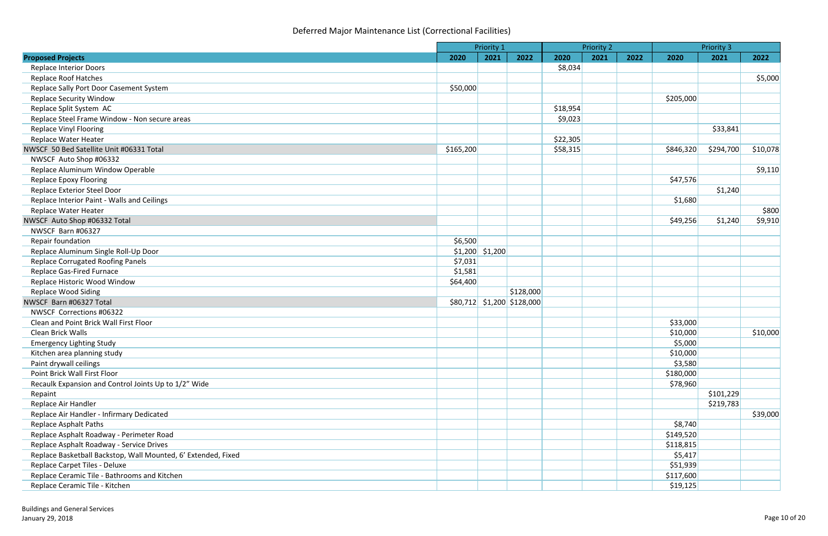| <b>Priority 3</b><br><b>Proposed Projects</b><br>2020<br>2020<br>2021<br>2022<br>2021<br>2022<br>2020<br>2021<br>2022<br>\$8,034<br><b>Replace Interior Doors</b><br><b>Replace Roof Hatches</b><br>\$5,000<br>\$50,000<br>Replace Sally Port Door Casement System<br>\$205,000<br><b>Replace Security Window</b><br>\$18,954<br>Replace Split System AC<br>Replace Steel Frame Window - Non secure areas<br>\$9,023<br>\$33,841<br><b>Replace Vinyl Flooring</b><br>\$22,305<br>Replace Water Heater<br>\$294,700<br>NWSCF 50 Bed Satellite Unit #06331 Total<br>\$165,200<br>\$58,315<br>\$10,078<br>\$846,320<br>NWSCF Auto Shop #06332<br>\$9,110<br>Replace Aluminum Window Operable<br><b>Replace Epoxy Flooring</b><br>\$47,576<br>\$1,240<br>Replace Exterior Steel Door<br>Replace Interior Paint - Walls and Ceilings<br>\$1,680<br>\$800<br>Replace Water Heater<br>\$9,910<br>NWSCF Auto Shop #06332 Total<br>\$49,256<br>\$1,240<br>NWSCF Barn #06327<br>Repair foundation<br>\$6,500<br>\$1,200<br>\$1,200<br>Replace Aluminum Single Roll-Up Door<br>Replace Corrugated Roofing Panels<br>\$7,031<br>\$1,581<br>Replace Gas-Fired Furnace<br>Replace Historic Wood Window<br>\$64,400<br>\$128,000<br><b>Replace Wood Siding</b><br>$$80,712$ $$1,200$ $$128,000$<br>NWSCF Barn #06327 Total<br>NWSCF Corrections #06322<br>Clean and Point Brick Wall First Floor<br>\$33,000<br>Clean Brick Walls<br>\$10,000<br>\$10,000<br>\$5,000<br><b>Emergency Lighting Study</b><br>\$10,000<br>Kitchen area planning study<br>Paint drywall ceilings<br>\$3,580<br>Point Brick Wall First Floor<br>\$180,000<br>Recaulk Expansion and Control Joints Up to 1/2" Wide<br>\$78,960<br>\$101,229<br>Repaint<br>Replace Air Handler<br>\$219,783<br>Replace Air Handler - Infirmary Dedicated<br>\$39,000<br>Replace Asphalt Paths<br>\$8,740<br>Replace Asphalt Roadway - Perimeter Road<br>\$149,520<br>Replace Asphalt Roadway - Service Drives<br>\$118,815<br>Replace Basketball Backstop, Wall Mounted, 6' Extended, Fixed<br>\$5,417<br>Replace Carpet Tiles - Deluxe<br>\$51,939 |                                              | Priority 1 |  | <b>Priority 2</b> |  |  |           |  |  |
|-----------------------------------------------------------------------------------------------------------------------------------------------------------------------------------------------------------------------------------------------------------------------------------------------------------------------------------------------------------------------------------------------------------------------------------------------------------------------------------------------------------------------------------------------------------------------------------------------------------------------------------------------------------------------------------------------------------------------------------------------------------------------------------------------------------------------------------------------------------------------------------------------------------------------------------------------------------------------------------------------------------------------------------------------------------------------------------------------------------------------------------------------------------------------------------------------------------------------------------------------------------------------------------------------------------------------------------------------------------------------------------------------------------------------------------------------------------------------------------------------------------------------------------------------------------------------------------------------------------------------------------------------------------------------------------------------------------------------------------------------------------------------------------------------------------------------------------------------------------------------------------------------------------------------------------------------------------------------------------------------------------------------------------------------------------------------------------------------|----------------------------------------------|------------|--|-------------------|--|--|-----------|--|--|
|                                                                                                                                                                                                                                                                                                                                                                                                                                                                                                                                                                                                                                                                                                                                                                                                                                                                                                                                                                                                                                                                                                                                                                                                                                                                                                                                                                                                                                                                                                                                                                                                                                                                                                                                                                                                                                                                                                                                                                                                                                                                                               |                                              |            |  |                   |  |  |           |  |  |
|                                                                                                                                                                                                                                                                                                                                                                                                                                                                                                                                                                                                                                                                                                                                                                                                                                                                                                                                                                                                                                                                                                                                                                                                                                                                                                                                                                                                                                                                                                                                                                                                                                                                                                                                                                                                                                                                                                                                                                                                                                                                                               |                                              |            |  |                   |  |  |           |  |  |
|                                                                                                                                                                                                                                                                                                                                                                                                                                                                                                                                                                                                                                                                                                                                                                                                                                                                                                                                                                                                                                                                                                                                                                                                                                                                                                                                                                                                                                                                                                                                                                                                                                                                                                                                                                                                                                                                                                                                                                                                                                                                                               |                                              |            |  |                   |  |  |           |  |  |
|                                                                                                                                                                                                                                                                                                                                                                                                                                                                                                                                                                                                                                                                                                                                                                                                                                                                                                                                                                                                                                                                                                                                                                                                                                                                                                                                                                                                                                                                                                                                                                                                                                                                                                                                                                                                                                                                                                                                                                                                                                                                                               |                                              |            |  |                   |  |  |           |  |  |
|                                                                                                                                                                                                                                                                                                                                                                                                                                                                                                                                                                                                                                                                                                                                                                                                                                                                                                                                                                                                                                                                                                                                                                                                                                                                                                                                                                                                                                                                                                                                                                                                                                                                                                                                                                                                                                                                                                                                                                                                                                                                                               |                                              |            |  |                   |  |  |           |  |  |
|                                                                                                                                                                                                                                                                                                                                                                                                                                                                                                                                                                                                                                                                                                                                                                                                                                                                                                                                                                                                                                                                                                                                                                                                                                                                                                                                                                                                                                                                                                                                                                                                                                                                                                                                                                                                                                                                                                                                                                                                                                                                                               |                                              |            |  |                   |  |  |           |  |  |
|                                                                                                                                                                                                                                                                                                                                                                                                                                                                                                                                                                                                                                                                                                                                                                                                                                                                                                                                                                                                                                                                                                                                                                                                                                                                                                                                                                                                                                                                                                                                                                                                                                                                                                                                                                                                                                                                                                                                                                                                                                                                                               |                                              |            |  |                   |  |  |           |  |  |
|                                                                                                                                                                                                                                                                                                                                                                                                                                                                                                                                                                                                                                                                                                                                                                                                                                                                                                                                                                                                                                                                                                                                                                                                                                                                                                                                                                                                                                                                                                                                                                                                                                                                                                                                                                                                                                                                                                                                                                                                                                                                                               |                                              |            |  |                   |  |  |           |  |  |
|                                                                                                                                                                                                                                                                                                                                                                                                                                                                                                                                                                                                                                                                                                                                                                                                                                                                                                                                                                                                                                                                                                                                                                                                                                                                                                                                                                                                                                                                                                                                                                                                                                                                                                                                                                                                                                                                                                                                                                                                                                                                                               |                                              |            |  |                   |  |  |           |  |  |
|                                                                                                                                                                                                                                                                                                                                                                                                                                                                                                                                                                                                                                                                                                                                                                                                                                                                                                                                                                                                                                                                                                                                                                                                                                                                                                                                                                                                                                                                                                                                                                                                                                                                                                                                                                                                                                                                                                                                                                                                                                                                                               |                                              |            |  |                   |  |  |           |  |  |
|                                                                                                                                                                                                                                                                                                                                                                                                                                                                                                                                                                                                                                                                                                                                                                                                                                                                                                                                                                                                                                                                                                                                                                                                                                                                                                                                                                                                                                                                                                                                                                                                                                                                                                                                                                                                                                                                                                                                                                                                                                                                                               |                                              |            |  |                   |  |  |           |  |  |
|                                                                                                                                                                                                                                                                                                                                                                                                                                                                                                                                                                                                                                                                                                                                                                                                                                                                                                                                                                                                                                                                                                                                                                                                                                                                                                                                                                                                                                                                                                                                                                                                                                                                                                                                                                                                                                                                                                                                                                                                                                                                                               |                                              |            |  |                   |  |  |           |  |  |
|                                                                                                                                                                                                                                                                                                                                                                                                                                                                                                                                                                                                                                                                                                                                                                                                                                                                                                                                                                                                                                                                                                                                                                                                                                                                                                                                                                                                                                                                                                                                                                                                                                                                                                                                                                                                                                                                                                                                                                                                                                                                                               |                                              |            |  |                   |  |  |           |  |  |
|                                                                                                                                                                                                                                                                                                                                                                                                                                                                                                                                                                                                                                                                                                                                                                                                                                                                                                                                                                                                                                                                                                                                                                                                                                                                                                                                                                                                                                                                                                                                                                                                                                                                                                                                                                                                                                                                                                                                                                                                                                                                                               |                                              |            |  |                   |  |  |           |  |  |
|                                                                                                                                                                                                                                                                                                                                                                                                                                                                                                                                                                                                                                                                                                                                                                                                                                                                                                                                                                                                                                                                                                                                                                                                                                                                                                                                                                                                                                                                                                                                                                                                                                                                                                                                                                                                                                                                                                                                                                                                                                                                                               |                                              |            |  |                   |  |  |           |  |  |
|                                                                                                                                                                                                                                                                                                                                                                                                                                                                                                                                                                                                                                                                                                                                                                                                                                                                                                                                                                                                                                                                                                                                                                                                                                                                                                                                                                                                                                                                                                                                                                                                                                                                                                                                                                                                                                                                                                                                                                                                                                                                                               |                                              |            |  |                   |  |  |           |  |  |
|                                                                                                                                                                                                                                                                                                                                                                                                                                                                                                                                                                                                                                                                                                                                                                                                                                                                                                                                                                                                                                                                                                                                                                                                                                                                                                                                                                                                                                                                                                                                                                                                                                                                                                                                                                                                                                                                                                                                                                                                                                                                                               |                                              |            |  |                   |  |  |           |  |  |
|                                                                                                                                                                                                                                                                                                                                                                                                                                                                                                                                                                                                                                                                                                                                                                                                                                                                                                                                                                                                                                                                                                                                                                                                                                                                                                                                                                                                                                                                                                                                                                                                                                                                                                                                                                                                                                                                                                                                                                                                                                                                                               |                                              |            |  |                   |  |  |           |  |  |
|                                                                                                                                                                                                                                                                                                                                                                                                                                                                                                                                                                                                                                                                                                                                                                                                                                                                                                                                                                                                                                                                                                                                                                                                                                                                                                                                                                                                                                                                                                                                                                                                                                                                                                                                                                                                                                                                                                                                                                                                                                                                                               |                                              |            |  |                   |  |  |           |  |  |
|                                                                                                                                                                                                                                                                                                                                                                                                                                                                                                                                                                                                                                                                                                                                                                                                                                                                                                                                                                                                                                                                                                                                                                                                                                                                                                                                                                                                                                                                                                                                                                                                                                                                                                                                                                                                                                                                                                                                                                                                                                                                                               |                                              |            |  |                   |  |  |           |  |  |
|                                                                                                                                                                                                                                                                                                                                                                                                                                                                                                                                                                                                                                                                                                                                                                                                                                                                                                                                                                                                                                                                                                                                                                                                                                                                                                                                                                                                                                                                                                                                                                                                                                                                                                                                                                                                                                                                                                                                                                                                                                                                                               |                                              |            |  |                   |  |  |           |  |  |
|                                                                                                                                                                                                                                                                                                                                                                                                                                                                                                                                                                                                                                                                                                                                                                                                                                                                                                                                                                                                                                                                                                                                                                                                                                                                                                                                                                                                                                                                                                                                                                                                                                                                                                                                                                                                                                                                                                                                                                                                                                                                                               |                                              |            |  |                   |  |  |           |  |  |
|                                                                                                                                                                                                                                                                                                                                                                                                                                                                                                                                                                                                                                                                                                                                                                                                                                                                                                                                                                                                                                                                                                                                                                                                                                                                                                                                                                                                                                                                                                                                                                                                                                                                                                                                                                                                                                                                                                                                                                                                                                                                                               |                                              |            |  |                   |  |  |           |  |  |
|                                                                                                                                                                                                                                                                                                                                                                                                                                                                                                                                                                                                                                                                                                                                                                                                                                                                                                                                                                                                                                                                                                                                                                                                                                                                                                                                                                                                                                                                                                                                                                                                                                                                                                                                                                                                                                                                                                                                                                                                                                                                                               |                                              |            |  |                   |  |  |           |  |  |
|                                                                                                                                                                                                                                                                                                                                                                                                                                                                                                                                                                                                                                                                                                                                                                                                                                                                                                                                                                                                                                                                                                                                                                                                                                                                                                                                                                                                                                                                                                                                                                                                                                                                                                                                                                                                                                                                                                                                                                                                                                                                                               |                                              |            |  |                   |  |  |           |  |  |
|                                                                                                                                                                                                                                                                                                                                                                                                                                                                                                                                                                                                                                                                                                                                                                                                                                                                                                                                                                                                                                                                                                                                                                                                                                                                                                                                                                                                                                                                                                                                                                                                                                                                                                                                                                                                                                                                                                                                                                                                                                                                                               |                                              |            |  |                   |  |  |           |  |  |
|                                                                                                                                                                                                                                                                                                                                                                                                                                                                                                                                                                                                                                                                                                                                                                                                                                                                                                                                                                                                                                                                                                                                                                                                                                                                                                                                                                                                                                                                                                                                                                                                                                                                                                                                                                                                                                                                                                                                                                                                                                                                                               |                                              |            |  |                   |  |  |           |  |  |
|                                                                                                                                                                                                                                                                                                                                                                                                                                                                                                                                                                                                                                                                                                                                                                                                                                                                                                                                                                                                                                                                                                                                                                                                                                                                                                                                                                                                                                                                                                                                                                                                                                                                                                                                                                                                                                                                                                                                                                                                                                                                                               |                                              |            |  |                   |  |  |           |  |  |
|                                                                                                                                                                                                                                                                                                                                                                                                                                                                                                                                                                                                                                                                                                                                                                                                                                                                                                                                                                                                                                                                                                                                                                                                                                                                                                                                                                                                                                                                                                                                                                                                                                                                                                                                                                                                                                                                                                                                                                                                                                                                                               |                                              |            |  |                   |  |  |           |  |  |
|                                                                                                                                                                                                                                                                                                                                                                                                                                                                                                                                                                                                                                                                                                                                                                                                                                                                                                                                                                                                                                                                                                                                                                                                                                                                                                                                                                                                                                                                                                                                                                                                                                                                                                                                                                                                                                                                                                                                                                                                                                                                                               |                                              |            |  |                   |  |  |           |  |  |
|                                                                                                                                                                                                                                                                                                                                                                                                                                                                                                                                                                                                                                                                                                                                                                                                                                                                                                                                                                                                                                                                                                                                                                                                                                                                                                                                                                                                                                                                                                                                                                                                                                                                                                                                                                                                                                                                                                                                                                                                                                                                                               |                                              |            |  |                   |  |  |           |  |  |
|                                                                                                                                                                                                                                                                                                                                                                                                                                                                                                                                                                                                                                                                                                                                                                                                                                                                                                                                                                                                                                                                                                                                                                                                                                                                                                                                                                                                                                                                                                                                                                                                                                                                                                                                                                                                                                                                                                                                                                                                                                                                                               |                                              |            |  |                   |  |  |           |  |  |
|                                                                                                                                                                                                                                                                                                                                                                                                                                                                                                                                                                                                                                                                                                                                                                                                                                                                                                                                                                                                                                                                                                                                                                                                                                                                                                                                                                                                                                                                                                                                                                                                                                                                                                                                                                                                                                                                                                                                                                                                                                                                                               |                                              |            |  |                   |  |  |           |  |  |
|                                                                                                                                                                                                                                                                                                                                                                                                                                                                                                                                                                                                                                                                                                                                                                                                                                                                                                                                                                                                                                                                                                                                                                                                                                                                                                                                                                                                                                                                                                                                                                                                                                                                                                                                                                                                                                                                                                                                                                                                                                                                                               |                                              |            |  |                   |  |  |           |  |  |
|                                                                                                                                                                                                                                                                                                                                                                                                                                                                                                                                                                                                                                                                                                                                                                                                                                                                                                                                                                                                                                                                                                                                                                                                                                                                                                                                                                                                                                                                                                                                                                                                                                                                                                                                                                                                                                                                                                                                                                                                                                                                                               |                                              |            |  |                   |  |  |           |  |  |
|                                                                                                                                                                                                                                                                                                                                                                                                                                                                                                                                                                                                                                                                                                                                                                                                                                                                                                                                                                                                                                                                                                                                                                                                                                                                                                                                                                                                                                                                                                                                                                                                                                                                                                                                                                                                                                                                                                                                                                                                                                                                                               |                                              |            |  |                   |  |  |           |  |  |
|                                                                                                                                                                                                                                                                                                                                                                                                                                                                                                                                                                                                                                                                                                                                                                                                                                                                                                                                                                                                                                                                                                                                                                                                                                                                                                                                                                                                                                                                                                                                                                                                                                                                                                                                                                                                                                                                                                                                                                                                                                                                                               |                                              |            |  |                   |  |  |           |  |  |
|                                                                                                                                                                                                                                                                                                                                                                                                                                                                                                                                                                                                                                                                                                                                                                                                                                                                                                                                                                                                                                                                                                                                                                                                                                                                                                                                                                                                                                                                                                                                                                                                                                                                                                                                                                                                                                                                                                                                                                                                                                                                                               |                                              |            |  |                   |  |  |           |  |  |
|                                                                                                                                                                                                                                                                                                                                                                                                                                                                                                                                                                                                                                                                                                                                                                                                                                                                                                                                                                                                                                                                                                                                                                                                                                                                                                                                                                                                                                                                                                                                                                                                                                                                                                                                                                                                                                                                                                                                                                                                                                                                                               |                                              |            |  |                   |  |  |           |  |  |
|                                                                                                                                                                                                                                                                                                                                                                                                                                                                                                                                                                                                                                                                                                                                                                                                                                                                                                                                                                                                                                                                                                                                                                                                                                                                                                                                                                                                                                                                                                                                                                                                                                                                                                                                                                                                                                                                                                                                                                                                                                                                                               |                                              |            |  |                   |  |  |           |  |  |
|                                                                                                                                                                                                                                                                                                                                                                                                                                                                                                                                                                                                                                                                                                                                                                                                                                                                                                                                                                                                                                                                                                                                                                                                                                                                                                                                                                                                                                                                                                                                                                                                                                                                                                                                                                                                                                                                                                                                                                                                                                                                                               |                                              |            |  |                   |  |  |           |  |  |
|                                                                                                                                                                                                                                                                                                                                                                                                                                                                                                                                                                                                                                                                                                                                                                                                                                                                                                                                                                                                                                                                                                                                                                                                                                                                                                                                                                                                                                                                                                                                                                                                                                                                                                                                                                                                                                                                                                                                                                                                                                                                                               | Replace Ceramic Tile - Bathrooms and Kitchen |            |  |                   |  |  | \$117,600 |  |  |
| Replace Ceramic Tile - Kitchen<br>\$19,125                                                                                                                                                                                                                                                                                                                                                                                                                                                                                                                                                                                                                                                                                                                                                                                                                                                                                                                                                                                                                                                                                                                                                                                                                                                                                                                                                                                                                                                                                                                                                                                                                                                                                                                                                                                                                                                                                                                                                                                                                                                    |                                              |            |  |                   |  |  |           |  |  |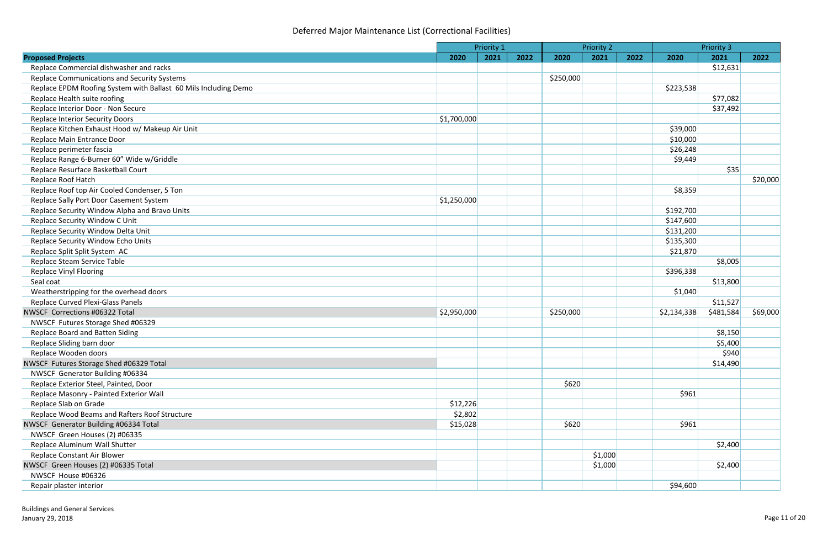|                                                                 | Priority 1  |      | <b>Priority 2</b> |           |         |      |             |                           |          |
|-----------------------------------------------------------------|-------------|------|-------------------|-----------|---------|------|-------------|---------------------------|----------|
| <b>Proposed Projects</b>                                        | 2020        | 2021 | 2022              | 2020      | 2021    | 2022 | 2020        | <b>Priority 3</b><br>2021 | 2022     |
| Replace Commercial dishwasher and racks                         |             |      |                   |           |         |      |             | \$12,631                  |          |
| Replace Communications and Security Systems                     |             |      |                   | \$250,000 |         |      |             |                           |          |
| Replace EPDM Roofing System with Ballast 60 Mils Including Demo |             |      |                   |           |         |      | \$223,538   |                           |          |
| Replace Health suite roofing                                    |             |      |                   |           |         |      |             | \$77,082                  |          |
| Replace Interior Door - Non Secure                              |             |      |                   |           |         |      |             | \$37,492                  |          |
| <b>Replace Interior Security Doors</b>                          | \$1,700,000 |      |                   |           |         |      |             |                           |          |
| Replace Kitchen Exhaust Hood w/ Makeup Air Unit                 |             |      |                   |           |         |      | \$39,000    |                           |          |
| Replace Main Entrance Door                                      |             |      |                   |           |         |      | \$10,000    |                           |          |
| Replace perimeter fascia                                        |             |      |                   |           |         |      | \$26,248    |                           |          |
| Replace Range 6-Burner 60" Wide w/Griddle                       |             |      |                   |           |         |      | \$9,449     |                           |          |
| Replace Resurface Basketball Court                              |             |      |                   |           |         |      |             | \$35                      |          |
| Replace Roof Hatch                                              |             |      |                   |           |         |      |             |                           | \$20,000 |
| Replace Roof top Air Cooled Condenser, 5 Ton                    |             |      |                   |           |         |      | \$8,359     |                           |          |
| Replace Sally Port Door Casement System                         | \$1,250,000 |      |                   |           |         |      |             |                           |          |
| Replace Security Window Alpha and Bravo Units                   |             |      |                   |           |         |      | \$192,700   |                           |          |
| Replace Security Window C Unit                                  |             |      |                   |           |         |      | \$147,600   |                           |          |
| Replace Security Window Delta Unit                              |             |      |                   |           |         |      | \$131,200   |                           |          |
| Replace Security Window Echo Units                              |             |      |                   |           |         |      | \$135,300   |                           |          |
| Replace Split Split System AC                                   |             |      |                   |           |         |      | \$21,870    |                           |          |
| Replace Steam Service Table                                     |             |      |                   |           |         |      |             | \$8,005                   |          |
| <b>Replace Vinyl Flooring</b>                                   |             |      |                   |           |         |      | \$396,338   |                           |          |
| Seal coat                                                       |             |      |                   |           |         |      |             | \$13,800                  |          |
| Weatherstripping for the overhead doors                         |             |      |                   |           |         |      | \$1,040     |                           |          |
| Replace Curved Plexi-Glass Panels                               |             |      |                   |           |         |      |             | \$11,527                  |          |
| NWSCF Corrections #06322 Total                                  | \$2,950,000 |      |                   | \$250,000 |         |      | \$2,134,338 | \$481,584                 | \$69,000 |
| NWSCF Futures Storage Shed #06329                               |             |      |                   |           |         |      |             |                           |          |
| Replace Board and Batten Siding                                 |             |      |                   |           |         |      |             | \$8,150                   |          |
| Replace Sliding barn door                                       |             |      |                   |           |         |      |             | \$5,400                   |          |
| Replace Wooden doors                                            |             |      |                   |           |         |      |             | \$940                     |          |
| NWSCF Futures Storage Shed #06329 Total                         |             |      |                   |           |         |      |             | \$14,490                  |          |
| NWSCF Generator Building #06334                                 |             |      |                   |           |         |      |             |                           |          |
| Replace Exterior Steel, Painted, Door                           |             |      |                   | \$620     |         |      |             |                           |          |
| Replace Masonry - Painted Exterior Wall                         |             |      |                   |           |         |      | \$961       |                           |          |
| Replace Slab on Grade                                           | \$12,226    |      |                   |           |         |      |             |                           |          |
| Replace Wood Beams and Rafters Roof Structure                   | \$2,802     |      |                   |           |         |      |             |                           |          |
| NWSCF Generator Building #06334 Total                           | \$15,028    |      |                   | \$620     |         |      | \$961       |                           |          |
| NWSCF Green Houses (2) #06335                                   |             |      |                   |           |         |      |             |                           |          |
| Replace Aluminum Wall Shutter                                   |             |      |                   |           |         |      |             | \$2,400                   |          |
| Replace Constant Air Blower                                     |             |      |                   |           | \$1,000 |      |             |                           |          |
| NWSCF Green Houses (2) #06335 Total                             |             |      |                   |           | \$1,000 |      |             | \$2,400                   |          |
| NWSCF House #06326                                              |             |      |                   |           |         |      |             |                           |          |
| Repair plaster interior                                         |             |      |                   |           |         |      | \$94,600    |                           |          |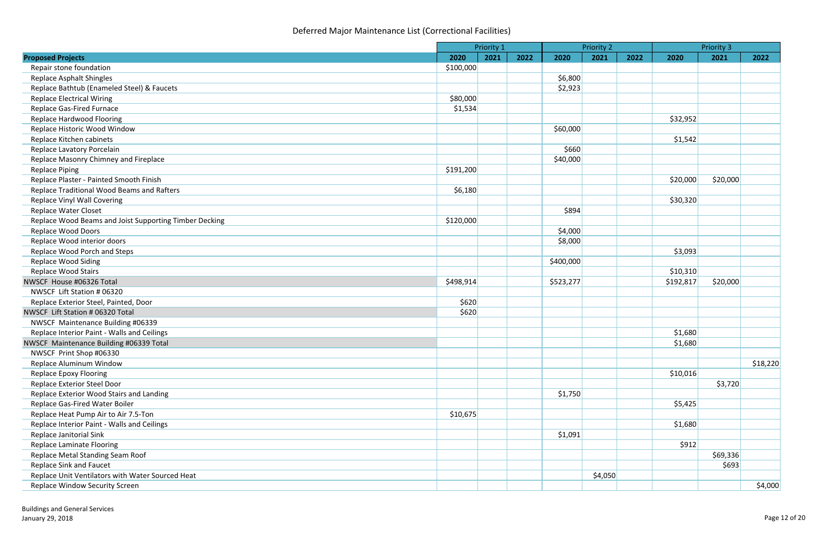|                                                        | Priority 1 |      |      |           |                           |      |           |                           |          |
|--------------------------------------------------------|------------|------|------|-----------|---------------------------|------|-----------|---------------------------|----------|
| <b>Proposed Projects</b>                               | 2020       | 2021 | 2022 | 2020      | <b>Priority 2</b><br>2021 | 2022 | 2020      | <b>Priority 3</b><br>2021 | 2022     |
| Repair stone foundation                                | \$100,000  |      |      |           |                           |      |           |                           |          |
| <b>Replace Asphalt Shingles</b>                        |            |      |      | \$6,800   |                           |      |           |                           |          |
| Replace Bathtub (Enameled Steel) & Faucets             |            |      |      | \$2,923   |                           |      |           |                           |          |
| <b>Replace Electrical Wiring</b>                       | \$80,000   |      |      |           |                           |      |           |                           |          |
| Replace Gas-Fired Furnace                              | \$1,534    |      |      |           |                           |      |           |                           |          |
| Replace Hardwood Flooring                              |            |      |      |           |                           |      | \$32,952  |                           |          |
| Replace Historic Wood Window                           |            |      |      | \$60,000  |                           |      |           |                           |          |
| Replace Kitchen cabinets                               |            |      |      |           |                           |      | \$1,542   |                           |          |
| Replace Lavatory Porcelain                             |            |      |      | \$660     |                           |      |           |                           |          |
| Replace Masonry Chimney and Fireplace                  |            |      |      | \$40,000  |                           |      |           |                           |          |
| <b>Replace Piping</b>                                  | \$191,200  |      |      |           |                           |      |           |                           |          |
| Replace Plaster - Painted Smooth Finish                |            |      |      |           |                           |      | \$20,000  | \$20,000                  |          |
| Replace Traditional Wood Beams and Rafters             | \$6,180    |      |      |           |                           |      |           |                           |          |
| Replace Vinyl Wall Covering                            |            |      |      |           |                           |      | \$30,320  |                           |          |
| <b>Replace Water Closet</b>                            |            |      |      | \$894     |                           |      |           |                           |          |
| Replace Wood Beams and Joist Supporting Timber Decking | \$120,000  |      |      |           |                           |      |           |                           |          |
| <b>Replace Wood Doors</b>                              |            |      |      | \$4,000   |                           |      |           |                           |          |
| Replace Wood interior doors                            |            |      |      | \$8,000   |                           |      |           |                           |          |
| Replace Wood Porch and Steps                           |            |      |      |           |                           |      | \$3,093   |                           |          |
| <b>Replace Wood Siding</b>                             |            |      |      | \$400,000 |                           |      |           |                           |          |
| <b>Replace Wood Stairs</b>                             |            |      |      |           |                           |      | \$10,310  |                           |          |
| NWSCF House #06326 Total                               | \$498,914  |      |      | \$523,277 |                           |      | \$192,817 | \$20,000                  |          |
| NWSCF Lift Station # 06320                             |            |      |      |           |                           |      |           |                           |          |
| Replace Exterior Steel, Painted, Door                  | \$620      |      |      |           |                           |      |           |                           |          |
| NWSCF Lift Station # 06320 Total                       | \$620      |      |      |           |                           |      |           |                           |          |
| NWSCF Maintenance Building #06339                      |            |      |      |           |                           |      |           |                           |          |
| Replace Interior Paint - Walls and Ceilings            |            |      |      |           |                           |      | \$1,680   |                           |          |
| NWSCF Maintenance Building #06339 Total                |            |      |      |           |                           |      | \$1,680   |                           |          |
| NWSCF Print Shop #06330                                |            |      |      |           |                           |      |           |                           |          |
| Replace Aluminum Window                                |            |      |      |           |                           |      |           |                           | \$18,220 |
| Replace Epoxy Flooring                                 |            |      |      |           |                           |      | \$10,016  |                           |          |
| Replace Exterior Steel Door                            |            |      |      |           |                           |      |           | \$3,720                   |          |
| Replace Exterior Wood Stairs and Landing               |            |      |      | \$1,750   |                           |      |           |                           |          |
| Replace Gas-Fired Water Boiler                         |            |      |      |           |                           |      | \$5,425   |                           |          |
| Replace Heat Pump Air to Air 7.5-Ton                   | \$10,675   |      |      |           |                           |      |           |                           |          |
| Replace Interior Paint - Walls and Ceilings            |            |      |      |           |                           |      | \$1,680   |                           |          |
| Replace Janitorial Sink                                |            |      |      | \$1,091   |                           |      |           |                           |          |
| <b>Replace Laminate Flooring</b>                       |            |      |      |           |                           |      | \$912     |                           |          |
| Replace Metal Standing Seam Roof                       |            |      |      |           |                           |      |           | \$69,336                  |          |
| Replace Sink and Faucet                                |            |      |      |           |                           |      |           | \$693                     |          |
| Replace Unit Ventilators with Water Sourced Heat       |            |      |      |           | \$4,050                   |      |           |                           |          |
|                                                        |            |      |      |           |                           |      |           |                           | \$4,000  |
| Replace Window Security Screen                         |            |      |      |           |                           |      |           |                           |          |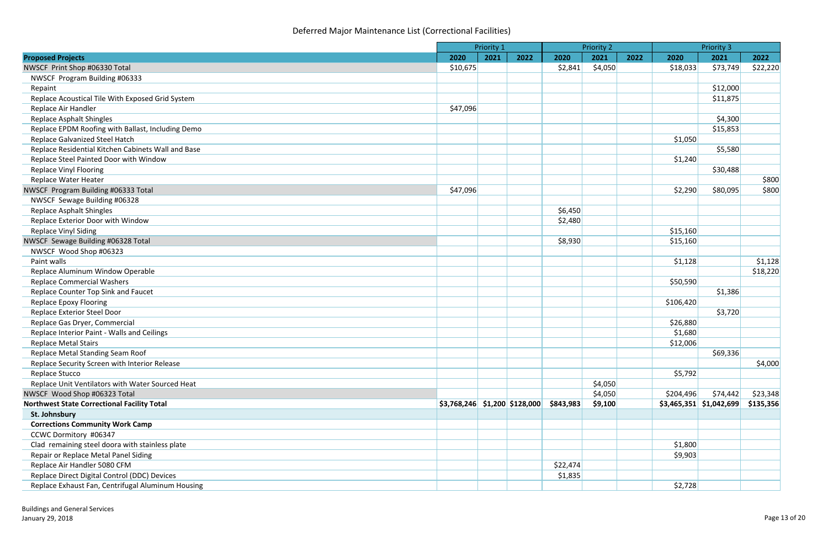| <b>Proposed Projects</b>                           |                                  | Priority 1 |      | <b>Priority 2</b> |         |      |           | <b>Priority 3</b>         |           |
|----------------------------------------------------|----------------------------------|------------|------|-------------------|---------|------|-----------|---------------------------|-----------|
|                                                    | 2020                             | 2021       | 2022 | 2020              | 2021    | 2022 | 2020      | 2021                      | 2022      |
| NWSCF Print Shop #06330 Total                      | \$10,675                         |            |      | \$2,841           | \$4,050 |      | \$18,033  | \$73,749                  | \$22,220  |
| NWSCF Program Building #06333                      |                                  |            |      |                   |         |      |           |                           |           |
| Repaint                                            |                                  |            |      |                   |         |      |           | \$12,000                  |           |
| Replace Acoustical Tile With Exposed Grid System   |                                  |            |      |                   |         |      |           | \$11,875                  |           |
| Replace Air Handler                                | \$47,096                         |            |      |                   |         |      |           |                           |           |
| <b>Replace Asphalt Shingles</b>                    |                                  |            |      |                   |         |      |           | \$4,300                   |           |
| Replace EPDM Roofing with Ballast, Including Demo  |                                  |            |      |                   |         |      |           | \$15,853                  |           |
| Replace Galvanized Steel Hatch                     |                                  |            |      |                   |         |      | \$1,050   |                           |           |
| Replace Residential Kitchen Cabinets Wall and Base |                                  |            |      |                   |         |      |           | \$5,580                   |           |
| Replace Steel Painted Door with Window             |                                  |            |      |                   |         |      | \$1,240   |                           |           |
| <b>Replace Vinyl Flooring</b>                      |                                  |            |      |                   |         |      |           | \$30,488                  |           |
| Replace Water Heater                               |                                  |            |      |                   |         |      |           |                           | \$800     |
| NWSCF Program Building #06333 Total                | \$47,096                         |            |      |                   |         |      | \$2,290   | \$80,095                  | \$800     |
| NWSCF Sewage Building #06328                       |                                  |            |      |                   |         |      |           |                           |           |
| <b>Replace Asphalt Shingles</b>                    |                                  |            |      | \$6,450           |         |      |           |                           |           |
| Replace Exterior Door with Window                  |                                  |            |      | \$2,480           |         |      |           |                           |           |
| <b>Replace Vinyl Siding</b>                        |                                  |            |      |                   |         |      | \$15,160  |                           |           |
| NWSCF Sewage Building #06328 Total                 |                                  |            |      | \$8,930           |         |      | \$15,160  |                           |           |
| NWSCF Wood Shop #06323                             |                                  |            |      |                   |         |      |           |                           |           |
| Paint walls                                        |                                  |            |      |                   |         |      | \$1,128   |                           | \$1,128   |
| Replace Aluminum Window Operable                   |                                  |            |      |                   |         |      |           |                           | \$18,220  |
| <b>Replace Commercial Washers</b>                  |                                  |            |      |                   |         |      | \$50,590  |                           |           |
| Replace Counter Top Sink and Faucet                |                                  |            |      |                   |         |      |           | \$1,386                   |           |
| <b>Replace Epoxy Flooring</b>                      |                                  |            |      |                   |         |      | \$106,420 |                           |           |
| Replace Exterior Steel Door                        |                                  |            |      |                   |         |      |           | \$3,720                   |           |
| Replace Gas Dryer, Commercial                      |                                  |            |      |                   |         |      | \$26,880  |                           |           |
| Replace Interior Paint - Walls and Ceilings        |                                  |            |      |                   |         |      | \$1,680   |                           |           |
| <b>Replace Metal Stairs</b>                        |                                  |            |      |                   |         |      | \$12,006  |                           |           |
| Replace Metal Standing Seam Roof                   |                                  |            |      |                   |         |      |           | \$69,336                  |           |
| Replace Security Screen with Interior Release      |                                  |            |      |                   |         |      |           |                           | \$4,000   |
| Replace Stucco                                     |                                  |            |      |                   |         |      | \$5,792   |                           |           |
| Replace Unit Ventilators with Water Sourced Heat   |                                  |            |      |                   | \$4,050 |      |           |                           |           |
| NWSCF Wood Shop #06323 Total                       |                                  |            |      |                   | \$4,050 |      | \$204,496 | \$74,442                  | \$23,348  |
| <b>Northwest State Correctional Facility Total</b> | $$3,768,246$ $$1,200$ $$128,000$ |            |      | \$843,983         | \$9,100 |      |           | $$3,465,351$ $$1,042,699$ | \$135,356 |
| St. Johnsbury                                      |                                  |            |      |                   |         |      |           |                           |           |
| <b>Corrections Community Work Camp</b>             |                                  |            |      |                   |         |      |           |                           |           |
| CCWC Dormitory #06347                              |                                  |            |      |                   |         |      |           |                           |           |
| Clad remaining steel doora with stainless plate    |                                  |            |      |                   |         |      | \$1,800   |                           |           |
| Repair or Replace Metal Panel Siding               |                                  |            |      |                   |         |      | \$9,903   |                           |           |
| Replace Air Handler 5080 CFM                       |                                  |            |      | \$22,474          |         |      |           |                           |           |
| Replace Direct Digital Control (DDC) Devices       |                                  |            |      | \$1,835           |         |      |           |                           |           |
| Replace Exhaust Fan, Centrifugal Aluminum Housing  |                                  |            |      |                   |         |      | \$2,728   |                           |           |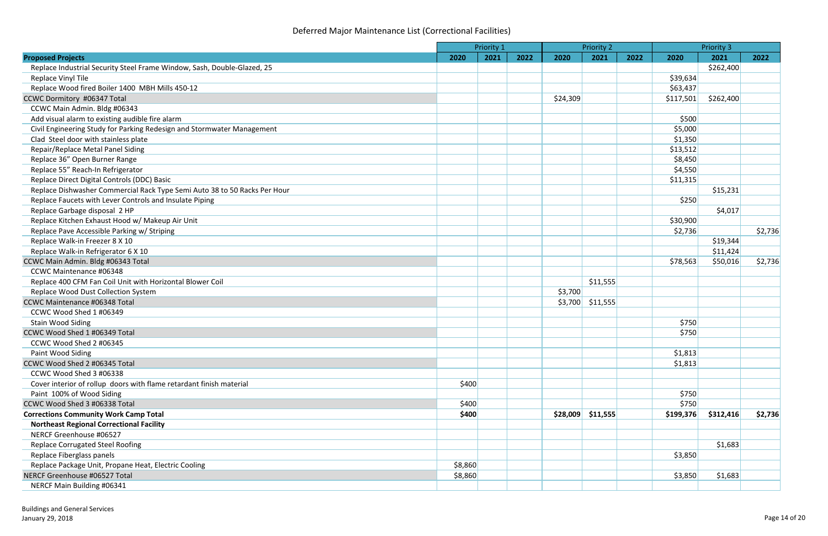|                                                                           | Priority 1 |      | <b>Priority 2</b> |          |          |      | <b>Priority 3</b> |           |         |
|---------------------------------------------------------------------------|------------|------|-------------------|----------|----------|------|-------------------|-----------|---------|
| <b>Proposed Projects</b>                                                  | 2020       | 2021 | 2022              | 2020     | 2021     | 2022 | 2020              | 2021      | 2022    |
| Replace Industrial Security Steel Frame Window, Sash, Double-Glazed, 25   |            |      |                   |          |          |      |                   | \$262,400 |         |
| Replace Vinyl Tile                                                        |            |      |                   |          |          |      | \$39,634          |           |         |
| Replace Wood fired Boiler 1400 MBH Mills 450-12                           |            |      |                   |          |          |      | \$63,437          |           |         |
| CCWC Dormitory #06347 Total                                               |            |      |                   | \$24,309 |          |      | \$117,501         | \$262,400 |         |
| CCWC Main Admin. Bldg #06343                                              |            |      |                   |          |          |      |                   |           |         |
| Add visual alarm to existing audible fire alarm                           |            |      |                   |          |          |      | \$500             |           |         |
| Civil Engineering Study for Parking Redesign and Stormwater Management    |            |      |                   |          |          |      | \$5,000           |           |         |
| Clad Steel door with stainless plate                                      |            |      |                   |          |          |      | \$1,350           |           |         |
| Repair/Replace Metal Panel Siding                                         |            |      |                   |          |          |      | \$13,512          |           |         |
| Replace 36" Open Burner Range                                             |            |      |                   |          |          |      | \$8,450           |           |         |
| Replace 55" Reach-In Refrigerator                                         |            |      |                   |          |          |      | \$4,550           |           |         |
| Replace Direct Digital Controls (DDC) Basic                               |            |      |                   |          |          |      | \$11,315          |           |         |
| Replace Dishwasher Commercial Rack Type Semi Auto 38 to 50 Racks Per Hour |            |      |                   |          |          |      |                   | \$15,231  |         |
| Replace Faucets with Lever Controls and Insulate Piping                   |            |      |                   |          |          |      | \$250             |           |         |
| Replace Garbage disposal 2 HP                                             |            |      |                   |          |          |      |                   | \$4,017   |         |
| Replace Kitchen Exhaust Hood w/ Makeup Air Unit                           |            |      |                   |          |          |      | \$30,900          |           |         |
| Replace Pave Accessible Parking w/ Striping                               |            |      |                   |          |          |      | \$2,736           |           | \$2,736 |
| Replace Walk-in Freezer 8 X 10                                            |            |      |                   |          |          |      |                   | \$19,344  |         |
| Replace Walk-in Refrigerator 6 X 10                                       |            |      |                   |          |          |      |                   | \$11,424  |         |
| CCWC Main Admin. Bldg #06343 Total                                        |            |      |                   |          |          |      | \$78,563          | \$50,016  | \$2,736 |
| CCWC Maintenance #06348                                                   |            |      |                   |          |          |      |                   |           |         |
| Replace 400 CFM Fan Coil Unit with Horizontal Blower Coil                 |            |      |                   |          | \$11,555 |      |                   |           |         |
| Replace Wood Dust Collection System                                       |            |      |                   | \$3,700  |          |      |                   |           |         |
| CCWC Maintenance #06348 Total                                             |            |      |                   | \$3,700  | \$11,555 |      |                   |           |         |
| CCWC Wood Shed 1 #06349                                                   |            |      |                   |          |          |      |                   |           |         |
| <b>Stain Wood Siding</b>                                                  |            |      |                   |          |          |      | \$750             |           |         |
| CCWC Wood Shed 1 #06349 Total                                             |            |      |                   |          |          |      | \$750             |           |         |
| CCWC Wood Shed 2 #06345                                                   |            |      |                   |          |          |      |                   |           |         |
| Paint Wood Siding                                                         |            |      |                   |          |          |      | \$1,813           |           |         |
| CCWC Wood Shed 2 #06345 Total                                             |            |      |                   |          |          |      | \$1,813           |           |         |
| CCWC Wood Shed 3 #06338                                                   |            |      |                   |          |          |      |                   |           |         |
| Cover interior of rollup doors with flame retardant finish material       | \$400      |      |                   |          |          |      |                   |           |         |
| Paint 100% of Wood Siding                                                 |            |      |                   |          |          |      | \$750             |           |         |
| CCWC Wood Shed 3 #06338 Total                                             | \$400      |      |                   |          |          |      | \$750             |           |         |
| <b>Corrections Community Work Camp Total</b>                              | \$400      |      |                   | \$28,009 | \$11,555 |      | \$199,376         | \$312,416 | \$2,736 |
| <b>Northeast Regional Correctional Facility</b>                           |            |      |                   |          |          |      |                   |           |         |
| NERCF Greenhouse #06527                                                   |            |      |                   |          |          |      |                   |           |         |
| <b>Replace Corrugated Steel Roofing</b>                                   |            |      |                   |          |          |      |                   | \$1,683   |         |
| Replace Fiberglass panels                                                 |            |      |                   |          |          |      | \$3,850           |           |         |
| Replace Package Unit, Propane Heat, Electric Cooling                      | \$8,860    |      |                   |          |          |      |                   |           |         |
| NERCF Greenhouse #06527 Total                                             | \$8,860    |      |                   |          |          |      | \$3,850           | \$1,683   |         |
| NERCF Main Building #06341                                                |            |      |                   |          |          |      |                   |           |         |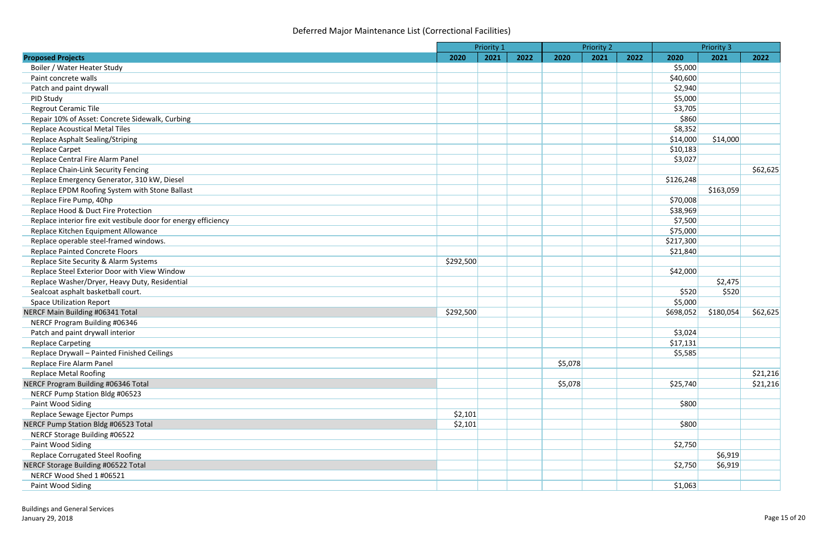| <b>Proposed Projects</b><br>2020<br>2022<br>2020<br>2020<br>2021<br>2021<br>2022<br>2021<br>2022<br>Boiler / Water Heater Study<br>\$5,000<br>Paint concrete walls<br>\$40,600<br>\$2,940<br>Patch and paint drywall<br>PID Study<br>\$5,000<br><b>Regrout Ceramic Tile</b><br>\$3,705<br>\$860<br>Repair 10% of Asset: Concrete Sidewalk, Curbing<br><b>Replace Acoustical Metal Tiles</b><br>\$8,352<br>\$14,000<br>Replace Asphalt Sealing/Striping<br>\$14,000<br>\$10,183<br><b>Replace Carpet</b><br>Replace Central Fire Alarm Panel<br>\$3,027<br>\$62,625<br>Replace Chain-Link Security Fencing<br>\$126,248<br>Replace Emergency Generator, 310 kW, Diesel<br>\$163,059<br>Replace EPDM Roofing System with Stone Ballast<br>\$70,008<br>Replace Fire Pump, 40hp<br>\$38,969<br>Replace Hood & Duct Fire Protection<br>Replace interior fire exit vestibule door for energy efficiency<br>\$7,500<br>Replace Kitchen Equipment Allowance<br>\$75,000<br>Replace operable steel-framed windows.<br>\$217,300<br><b>Replace Painted Concrete Floors</b><br>\$21,840<br>Replace Site Security & Alarm Systems<br>\$292,500<br>\$42,000<br>Replace Steel Exterior Door with View Window<br>Replace Washer/Dryer, Heavy Duty, Residential<br>\$2,475<br>\$520<br>\$520<br>Sealcoat asphalt basketball court.<br><b>Space Utilization Report</b><br>\$5,000<br>\$292,500<br>NERCF Main Building #06341 Total<br>\$180,054<br>\$62,625<br>\$698,052<br>NERCF Program Building #06346<br>\$3,024<br>Patch and paint drywall interior<br>\$17,131<br><b>Replace Carpeting</b><br>\$5,585<br>Replace Drywall - Painted Finished Ceilings<br>\$5,078<br>Replace Fire Alarm Panel<br>\$21,216<br><b>Replace Metal Roofing</b><br>NERCF Program Building #06346 Total<br>\$25,740<br>\$5,078<br>\$21,216<br>NERCF Pump Station Bldg #06523<br>\$800<br>Paint Wood Siding<br>\$2,101<br>Replace Sewage Ejector Pumps<br>\$2,101<br>\$800<br>NERCF Pump Station Bldg #06523 Total<br>NERCF Storage Building #06522 |                   | Priority 1 |  | <b>Priority 2</b> |  |  |         | <b>Priority 3</b> |  |
|----------------------------------------------------------------------------------------------------------------------------------------------------------------------------------------------------------------------------------------------------------------------------------------------------------------------------------------------------------------------------------------------------------------------------------------------------------------------------------------------------------------------------------------------------------------------------------------------------------------------------------------------------------------------------------------------------------------------------------------------------------------------------------------------------------------------------------------------------------------------------------------------------------------------------------------------------------------------------------------------------------------------------------------------------------------------------------------------------------------------------------------------------------------------------------------------------------------------------------------------------------------------------------------------------------------------------------------------------------------------------------------------------------------------------------------------------------------------------------------------------------------------------------------------------------------------------------------------------------------------------------------------------------------------------------------------------------------------------------------------------------------------------------------------------------------------------------------------------------------------------------------------------------------------------------------------------------------------------------------------------------------|-------------------|------------|--|-------------------|--|--|---------|-------------------|--|
|                                                                                                                                                                                                                                                                                                                                                                                                                                                                                                                                                                                                                                                                                                                                                                                                                                                                                                                                                                                                                                                                                                                                                                                                                                                                                                                                                                                                                                                                                                                                                                                                                                                                                                                                                                                                                                                                                                                                                                                                                |                   |            |  |                   |  |  |         |                   |  |
|                                                                                                                                                                                                                                                                                                                                                                                                                                                                                                                                                                                                                                                                                                                                                                                                                                                                                                                                                                                                                                                                                                                                                                                                                                                                                                                                                                                                                                                                                                                                                                                                                                                                                                                                                                                                                                                                                                                                                                                                                |                   |            |  |                   |  |  |         |                   |  |
|                                                                                                                                                                                                                                                                                                                                                                                                                                                                                                                                                                                                                                                                                                                                                                                                                                                                                                                                                                                                                                                                                                                                                                                                                                                                                                                                                                                                                                                                                                                                                                                                                                                                                                                                                                                                                                                                                                                                                                                                                |                   |            |  |                   |  |  |         |                   |  |
|                                                                                                                                                                                                                                                                                                                                                                                                                                                                                                                                                                                                                                                                                                                                                                                                                                                                                                                                                                                                                                                                                                                                                                                                                                                                                                                                                                                                                                                                                                                                                                                                                                                                                                                                                                                                                                                                                                                                                                                                                |                   |            |  |                   |  |  |         |                   |  |
|                                                                                                                                                                                                                                                                                                                                                                                                                                                                                                                                                                                                                                                                                                                                                                                                                                                                                                                                                                                                                                                                                                                                                                                                                                                                                                                                                                                                                                                                                                                                                                                                                                                                                                                                                                                                                                                                                                                                                                                                                |                   |            |  |                   |  |  |         |                   |  |
|                                                                                                                                                                                                                                                                                                                                                                                                                                                                                                                                                                                                                                                                                                                                                                                                                                                                                                                                                                                                                                                                                                                                                                                                                                                                                                                                                                                                                                                                                                                                                                                                                                                                                                                                                                                                                                                                                                                                                                                                                |                   |            |  |                   |  |  |         |                   |  |
|                                                                                                                                                                                                                                                                                                                                                                                                                                                                                                                                                                                                                                                                                                                                                                                                                                                                                                                                                                                                                                                                                                                                                                                                                                                                                                                                                                                                                                                                                                                                                                                                                                                                                                                                                                                                                                                                                                                                                                                                                |                   |            |  |                   |  |  |         |                   |  |
|                                                                                                                                                                                                                                                                                                                                                                                                                                                                                                                                                                                                                                                                                                                                                                                                                                                                                                                                                                                                                                                                                                                                                                                                                                                                                                                                                                                                                                                                                                                                                                                                                                                                                                                                                                                                                                                                                                                                                                                                                |                   |            |  |                   |  |  |         |                   |  |
|                                                                                                                                                                                                                                                                                                                                                                                                                                                                                                                                                                                                                                                                                                                                                                                                                                                                                                                                                                                                                                                                                                                                                                                                                                                                                                                                                                                                                                                                                                                                                                                                                                                                                                                                                                                                                                                                                                                                                                                                                |                   |            |  |                   |  |  |         |                   |  |
|                                                                                                                                                                                                                                                                                                                                                                                                                                                                                                                                                                                                                                                                                                                                                                                                                                                                                                                                                                                                                                                                                                                                                                                                                                                                                                                                                                                                                                                                                                                                                                                                                                                                                                                                                                                                                                                                                                                                                                                                                |                   |            |  |                   |  |  |         |                   |  |
|                                                                                                                                                                                                                                                                                                                                                                                                                                                                                                                                                                                                                                                                                                                                                                                                                                                                                                                                                                                                                                                                                                                                                                                                                                                                                                                                                                                                                                                                                                                                                                                                                                                                                                                                                                                                                                                                                                                                                                                                                |                   |            |  |                   |  |  |         |                   |  |
|                                                                                                                                                                                                                                                                                                                                                                                                                                                                                                                                                                                                                                                                                                                                                                                                                                                                                                                                                                                                                                                                                                                                                                                                                                                                                                                                                                                                                                                                                                                                                                                                                                                                                                                                                                                                                                                                                                                                                                                                                |                   |            |  |                   |  |  |         |                   |  |
|                                                                                                                                                                                                                                                                                                                                                                                                                                                                                                                                                                                                                                                                                                                                                                                                                                                                                                                                                                                                                                                                                                                                                                                                                                                                                                                                                                                                                                                                                                                                                                                                                                                                                                                                                                                                                                                                                                                                                                                                                |                   |            |  |                   |  |  |         |                   |  |
|                                                                                                                                                                                                                                                                                                                                                                                                                                                                                                                                                                                                                                                                                                                                                                                                                                                                                                                                                                                                                                                                                                                                                                                                                                                                                                                                                                                                                                                                                                                                                                                                                                                                                                                                                                                                                                                                                                                                                                                                                |                   |            |  |                   |  |  |         |                   |  |
|                                                                                                                                                                                                                                                                                                                                                                                                                                                                                                                                                                                                                                                                                                                                                                                                                                                                                                                                                                                                                                                                                                                                                                                                                                                                                                                                                                                                                                                                                                                                                                                                                                                                                                                                                                                                                                                                                                                                                                                                                |                   |            |  |                   |  |  |         |                   |  |
|                                                                                                                                                                                                                                                                                                                                                                                                                                                                                                                                                                                                                                                                                                                                                                                                                                                                                                                                                                                                                                                                                                                                                                                                                                                                                                                                                                                                                                                                                                                                                                                                                                                                                                                                                                                                                                                                                                                                                                                                                |                   |            |  |                   |  |  |         |                   |  |
|                                                                                                                                                                                                                                                                                                                                                                                                                                                                                                                                                                                                                                                                                                                                                                                                                                                                                                                                                                                                                                                                                                                                                                                                                                                                                                                                                                                                                                                                                                                                                                                                                                                                                                                                                                                                                                                                                                                                                                                                                |                   |            |  |                   |  |  |         |                   |  |
|                                                                                                                                                                                                                                                                                                                                                                                                                                                                                                                                                                                                                                                                                                                                                                                                                                                                                                                                                                                                                                                                                                                                                                                                                                                                                                                                                                                                                                                                                                                                                                                                                                                                                                                                                                                                                                                                                                                                                                                                                |                   |            |  |                   |  |  |         |                   |  |
|                                                                                                                                                                                                                                                                                                                                                                                                                                                                                                                                                                                                                                                                                                                                                                                                                                                                                                                                                                                                                                                                                                                                                                                                                                                                                                                                                                                                                                                                                                                                                                                                                                                                                                                                                                                                                                                                                                                                                                                                                |                   |            |  |                   |  |  |         |                   |  |
|                                                                                                                                                                                                                                                                                                                                                                                                                                                                                                                                                                                                                                                                                                                                                                                                                                                                                                                                                                                                                                                                                                                                                                                                                                                                                                                                                                                                                                                                                                                                                                                                                                                                                                                                                                                                                                                                                                                                                                                                                |                   |            |  |                   |  |  |         |                   |  |
|                                                                                                                                                                                                                                                                                                                                                                                                                                                                                                                                                                                                                                                                                                                                                                                                                                                                                                                                                                                                                                                                                                                                                                                                                                                                                                                                                                                                                                                                                                                                                                                                                                                                                                                                                                                                                                                                                                                                                                                                                |                   |            |  |                   |  |  |         |                   |  |
|                                                                                                                                                                                                                                                                                                                                                                                                                                                                                                                                                                                                                                                                                                                                                                                                                                                                                                                                                                                                                                                                                                                                                                                                                                                                                                                                                                                                                                                                                                                                                                                                                                                                                                                                                                                                                                                                                                                                                                                                                |                   |            |  |                   |  |  |         |                   |  |
|                                                                                                                                                                                                                                                                                                                                                                                                                                                                                                                                                                                                                                                                                                                                                                                                                                                                                                                                                                                                                                                                                                                                                                                                                                                                                                                                                                                                                                                                                                                                                                                                                                                                                                                                                                                                                                                                                                                                                                                                                |                   |            |  |                   |  |  |         |                   |  |
|                                                                                                                                                                                                                                                                                                                                                                                                                                                                                                                                                                                                                                                                                                                                                                                                                                                                                                                                                                                                                                                                                                                                                                                                                                                                                                                                                                                                                                                                                                                                                                                                                                                                                                                                                                                                                                                                                                                                                                                                                |                   |            |  |                   |  |  |         |                   |  |
|                                                                                                                                                                                                                                                                                                                                                                                                                                                                                                                                                                                                                                                                                                                                                                                                                                                                                                                                                                                                                                                                                                                                                                                                                                                                                                                                                                                                                                                                                                                                                                                                                                                                                                                                                                                                                                                                                                                                                                                                                |                   |            |  |                   |  |  |         |                   |  |
|                                                                                                                                                                                                                                                                                                                                                                                                                                                                                                                                                                                                                                                                                                                                                                                                                                                                                                                                                                                                                                                                                                                                                                                                                                                                                                                                                                                                                                                                                                                                                                                                                                                                                                                                                                                                                                                                                                                                                                                                                |                   |            |  |                   |  |  |         |                   |  |
|                                                                                                                                                                                                                                                                                                                                                                                                                                                                                                                                                                                                                                                                                                                                                                                                                                                                                                                                                                                                                                                                                                                                                                                                                                                                                                                                                                                                                                                                                                                                                                                                                                                                                                                                                                                                                                                                                                                                                                                                                |                   |            |  |                   |  |  |         |                   |  |
|                                                                                                                                                                                                                                                                                                                                                                                                                                                                                                                                                                                                                                                                                                                                                                                                                                                                                                                                                                                                                                                                                                                                                                                                                                                                                                                                                                                                                                                                                                                                                                                                                                                                                                                                                                                                                                                                                                                                                                                                                |                   |            |  |                   |  |  |         |                   |  |
|                                                                                                                                                                                                                                                                                                                                                                                                                                                                                                                                                                                                                                                                                                                                                                                                                                                                                                                                                                                                                                                                                                                                                                                                                                                                                                                                                                                                                                                                                                                                                                                                                                                                                                                                                                                                                                                                                                                                                                                                                |                   |            |  |                   |  |  |         |                   |  |
|                                                                                                                                                                                                                                                                                                                                                                                                                                                                                                                                                                                                                                                                                                                                                                                                                                                                                                                                                                                                                                                                                                                                                                                                                                                                                                                                                                                                                                                                                                                                                                                                                                                                                                                                                                                                                                                                                                                                                                                                                |                   |            |  |                   |  |  |         |                   |  |
|                                                                                                                                                                                                                                                                                                                                                                                                                                                                                                                                                                                                                                                                                                                                                                                                                                                                                                                                                                                                                                                                                                                                                                                                                                                                                                                                                                                                                                                                                                                                                                                                                                                                                                                                                                                                                                                                                                                                                                                                                |                   |            |  |                   |  |  |         |                   |  |
|                                                                                                                                                                                                                                                                                                                                                                                                                                                                                                                                                                                                                                                                                                                                                                                                                                                                                                                                                                                                                                                                                                                                                                                                                                                                                                                                                                                                                                                                                                                                                                                                                                                                                                                                                                                                                                                                                                                                                                                                                |                   |            |  |                   |  |  |         |                   |  |
|                                                                                                                                                                                                                                                                                                                                                                                                                                                                                                                                                                                                                                                                                                                                                                                                                                                                                                                                                                                                                                                                                                                                                                                                                                                                                                                                                                                                                                                                                                                                                                                                                                                                                                                                                                                                                                                                                                                                                                                                                |                   |            |  |                   |  |  |         |                   |  |
|                                                                                                                                                                                                                                                                                                                                                                                                                                                                                                                                                                                                                                                                                                                                                                                                                                                                                                                                                                                                                                                                                                                                                                                                                                                                                                                                                                                                                                                                                                                                                                                                                                                                                                                                                                                                                                                                                                                                                                                                                |                   |            |  |                   |  |  |         |                   |  |
|                                                                                                                                                                                                                                                                                                                                                                                                                                                                                                                                                                                                                                                                                                                                                                                                                                                                                                                                                                                                                                                                                                                                                                                                                                                                                                                                                                                                                                                                                                                                                                                                                                                                                                                                                                                                                                                                                                                                                                                                                |                   |            |  |                   |  |  |         |                   |  |
|                                                                                                                                                                                                                                                                                                                                                                                                                                                                                                                                                                                                                                                                                                                                                                                                                                                                                                                                                                                                                                                                                                                                                                                                                                                                                                                                                                                                                                                                                                                                                                                                                                                                                                                                                                                                                                                                                                                                                                                                                |                   |            |  |                   |  |  |         |                   |  |
|                                                                                                                                                                                                                                                                                                                                                                                                                                                                                                                                                                                                                                                                                                                                                                                                                                                                                                                                                                                                                                                                                                                                                                                                                                                                                                                                                                                                                                                                                                                                                                                                                                                                                                                                                                                                                                                                                                                                                                                                                |                   |            |  |                   |  |  |         |                   |  |
|                                                                                                                                                                                                                                                                                                                                                                                                                                                                                                                                                                                                                                                                                                                                                                                                                                                                                                                                                                                                                                                                                                                                                                                                                                                                                                                                                                                                                                                                                                                                                                                                                                                                                                                                                                                                                                                                                                                                                                                                                |                   |            |  |                   |  |  |         |                   |  |
|                                                                                                                                                                                                                                                                                                                                                                                                                                                                                                                                                                                                                                                                                                                                                                                                                                                                                                                                                                                                                                                                                                                                                                                                                                                                                                                                                                                                                                                                                                                                                                                                                                                                                                                                                                                                                                                                                                                                                                                                                | Paint Wood Siding |            |  |                   |  |  | \$2,750 |                   |  |
| \$6,919<br><b>Replace Corrugated Steel Roofing</b>                                                                                                                                                                                                                                                                                                                                                                                                                                                                                                                                                                                                                                                                                                                                                                                                                                                                                                                                                                                                                                                                                                                                                                                                                                                                                                                                                                                                                                                                                                                                                                                                                                                                                                                                                                                                                                                                                                                                                             |                   |            |  |                   |  |  |         |                   |  |
| \$6,919<br>NERCF Storage Building #06522 Total<br>\$2,750                                                                                                                                                                                                                                                                                                                                                                                                                                                                                                                                                                                                                                                                                                                                                                                                                                                                                                                                                                                                                                                                                                                                                                                                                                                                                                                                                                                                                                                                                                                                                                                                                                                                                                                                                                                                                                                                                                                                                      |                   |            |  |                   |  |  |         |                   |  |
| NERCF Wood Shed 1 #06521                                                                                                                                                                                                                                                                                                                                                                                                                                                                                                                                                                                                                                                                                                                                                                                                                                                                                                                                                                                                                                                                                                                                                                                                                                                                                                                                                                                                                                                                                                                                                                                                                                                                                                                                                                                                                                                                                                                                                                                       |                   |            |  |                   |  |  |         |                   |  |
| \$1,063<br>Paint Wood Siding                                                                                                                                                                                                                                                                                                                                                                                                                                                                                                                                                                                                                                                                                                                                                                                                                                                                                                                                                                                                                                                                                                                                                                                                                                                                                                                                                                                                                                                                                                                                                                                                                                                                                                                                                                                                                                                                                                                                                                                   |                   |            |  |                   |  |  |         |                   |  |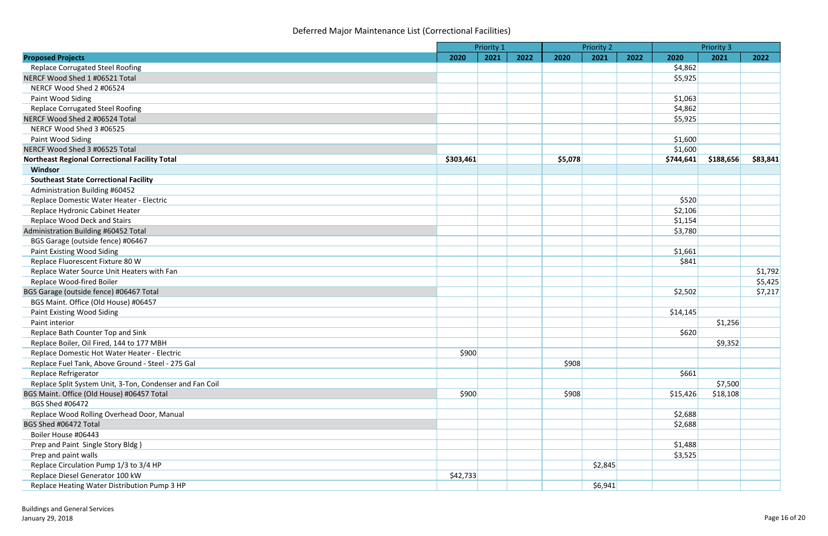|                                                          | Priority 1 |      |      |         | <b>Priority 2</b> |      | <b>Priority 3</b> |           |          |
|----------------------------------------------------------|------------|------|------|---------|-------------------|------|-------------------|-----------|----------|
| <b>Proposed Projects</b>                                 | 2020       | 2021 | 2022 | 2020    | 2021              | 2022 | 2020              | 2021      | 2022     |
| <b>Replace Corrugated Steel Roofing</b>                  |            |      |      |         |                   |      | \$4,862           |           |          |
| NERCF Wood Shed 1 #06521 Total                           |            |      |      |         |                   |      | \$5,925           |           |          |
| NERCF Wood Shed 2 #06524                                 |            |      |      |         |                   |      |                   |           |          |
| Paint Wood Siding                                        |            |      |      |         |                   |      | \$1,063           |           |          |
| <b>Replace Corrugated Steel Roofing</b>                  |            |      |      |         |                   |      | \$4,862           |           |          |
| NERCF Wood Shed 2 #06524 Total                           |            |      |      |         |                   |      | \$5,925           |           |          |
| NERCF Wood Shed 3 #06525                                 |            |      |      |         |                   |      |                   |           |          |
| Paint Wood Siding                                        |            |      |      |         |                   |      | \$1,600           |           |          |
| NERCF Wood Shed 3 #06525 Total                           |            |      |      |         |                   |      | \$1,600           |           |          |
| <b>Northeast Regional Correctional Facility Total</b>    | \$303,461  |      |      | \$5,078 |                   |      | \$744,641         | \$188,656 | \$83,841 |
| Windsor                                                  |            |      |      |         |                   |      |                   |           |          |
| <b>Southeast State Correctional Facility</b>             |            |      |      |         |                   |      |                   |           |          |
| Administration Building #60452                           |            |      |      |         |                   |      |                   |           |          |
| Replace Domestic Water Heater - Electric                 |            |      |      |         |                   |      | \$520             |           |          |
| Replace Hydronic Cabinet Heater                          |            |      |      |         |                   |      | \$2,106           |           |          |
| Replace Wood Deck and Stairs                             |            |      |      |         |                   |      | \$1,154           |           |          |
| Administration Building #60452 Total                     |            |      |      |         |                   |      | \$3,780           |           |          |
| BGS Garage (outside fence) #06467                        |            |      |      |         |                   |      |                   |           |          |
| Paint Existing Wood Siding                               |            |      |      |         |                   |      | \$1,661           |           |          |
| Replace Fluorescent Fixture 80 W                         |            |      |      |         |                   |      | \$841             |           |          |
| Replace Water Source Unit Heaters with Fan               |            |      |      |         |                   |      |                   |           | \$1,792  |
| Replace Wood-fired Boiler                                |            |      |      |         |                   |      |                   |           | \$5,425  |
| BGS Garage (outside fence) #06467 Total                  |            |      |      |         |                   |      | \$2,502           |           | \$7,217  |
| BGS Maint. Office (Old House) #06457                     |            |      |      |         |                   |      |                   |           |          |
| Paint Existing Wood Siding                               |            |      |      |         |                   |      | \$14,145          |           |          |
| Paint interior                                           |            |      |      |         |                   |      |                   | \$1,256   |          |
| Replace Bath Counter Top and Sink                        |            |      |      |         |                   |      | \$620             |           |          |
| Replace Boiler, Oil Fired, 144 to 177 MBH                |            |      |      |         |                   |      |                   | \$9,352   |          |
| Replace Domestic Hot Water Heater - Electric             | \$900      |      |      |         |                   |      |                   |           |          |
| Replace Fuel Tank, Above Ground - Steel - 275 Gal        |            |      |      | \$908   |                   |      |                   |           |          |
| Replace Refrigerator                                     |            |      |      |         |                   |      | \$661             |           |          |
| Replace Split System Unit, 3-Ton, Condenser and Fan Coil |            |      |      |         |                   |      |                   | \$7,500   |          |
| BGS Maint. Office (Old House) #06457 Total               | \$900      |      |      | \$908   |                   |      | \$15,426          | \$18,108  |          |
| BGS Shed #06472                                          |            |      |      |         |                   |      |                   |           |          |
| Replace Wood Rolling Overhead Door, Manual               |            |      |      |         |                   |      | \$2,688           |           |          |
| BGS Shed #06472 Total                                    |            |      |      |         |                   |      | \$2,688           |           |          |
| Boiler House #06443                                      |            |      |      |         |                   |      |                   |           |          |
| Prep and Paint Single Story Bldg)                        |            |      |      |         |                   |      | \$1,488           |           |          |
| Prep and paint walls                                     |            |      |      |         |                   |      | \$3,525           |           |          |
| Replace Circulation Pump 1/3 to 3/4 HP                   |            |      |      |         | \$2,845           |      |                   |           |          |
| Replace Diesel Generator 100 kW                          | \$42,733   |      |      |         |                   |      |                   |           |          |
| Replace Heating Water Distribution Pump 3 HP             |            |      |      |         | \$6,941           |      |                   |           |          |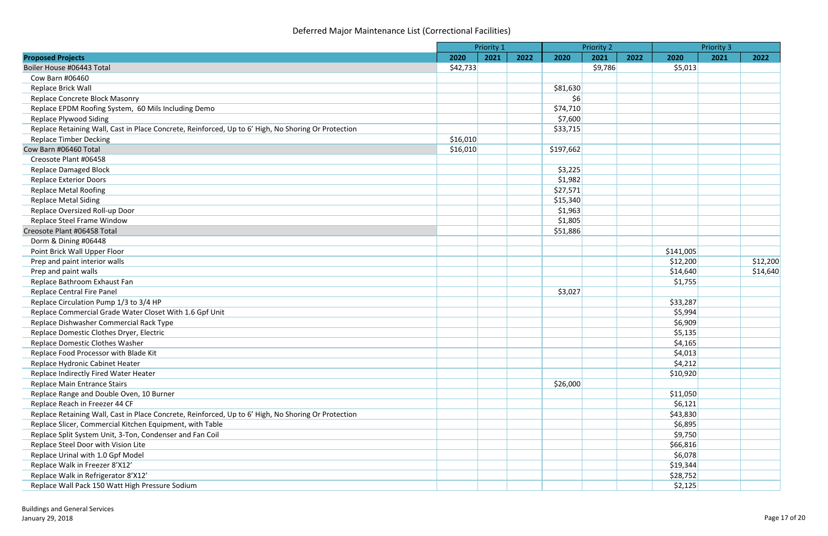|                                                                                                     |          |      | <b>Priority 1</b> |           | <b>Priority 2</b> |      |           | <b>Priority 3</b> |          |
|-----------------------------------------------------------------------------------------------------|----------|------|-------------------|-----------|-------------------|------|-----------|-------------------|----------|
| <b>Proposed Projects</b>                                                                            | 2020     | 2021 | 2022              | 2020      | 2021              | 2022 | 2020      | 2021              | 2022     |
| Boiler House #06443 Total                                                                           | \$42,733 |      |                   |           | \$9,786           |      | \$5,013   |                   |          |
| Cow Barn #06460                                                                                     |          |      |                   |           |                   |      |           |                   |          |
| Replace Brick Wall                                                                                  |          |      |                   | \$81,630  |                   |      |           |                   |          |
| Replace Concrete Block Masonry                                                                      |          |      |                   | \$6       |                   |      |           |                   |          |
| Replace EPDM Roofing System, 60 Mils Including Demo                                                 |          |      |                   | \$74,710  |                   |      |           |                   |          |
| <b>Replace Plywood Siding</b>                                                                       |          |      |                   | \$7,600   |                   |      |           |                   |          |
| Replace Retaining Wall, Cast in Place Concrete, Reinforced, Up to 6' High, No Shoring Or Protection |          |      |                   | \$33,715  |                   |      |           |                   |          |
| <b>Replace Timber Decking</b>                                                                       | \$16,010 |      |                   |           |                   |      |           |                   |          |
| Cow Barn #06460 Total                                                                               | \$16,010 |      |                   | \$197,662 |                   |      |           |                   |          |
| Creosote Plant #06458                                                                               |          |      |                   |           |                   |      |           |                   |          |
| <b>Replace Damaged Block</b>                                                                        |          |      |                   | \$3,225   |                   |      |           |                   |          |
| <b>Replace Exterior Doors</b>                                                                       |          |      |                   | \$1,982   |                   |      |           |                   |          |
| <b>Replace Metal Roofing</b>                                                                        |          |      |                   | \$27,571  |                   |      |           |                   |          |
| <b>Replace Metal Siding</b>                                                                         |          |      |                   | \$15,340  |                   |      |           |                   |          |
| Replace Oversized Roll-up Door                                                                      |          |      |                   | \$1,963   |                   |      |           |                   |          |
| Replace Steel Frame Window                                                                          |          |      |                   | \$1,805   |                   |      |           |                   |          |
| Creosote Plant #06458 Total                                                                         |          |      |                   | \$51,886  |                   |      |           |                   |          |
| Dorm & Dining #06448                                                                                |          |      |                   |           |                   |      |           |                   |          |
| Point Brick Wall Upper Floor                                                                        |          |      |                   |           |                   |      | \$141,005 |                   |          |
| Prep and paint interior walls                                                                       |          |      |                   |           |                   |      | \$12,200  |                   | \$12,200 |
| Prep and paint walls                                                                                |          |      |                   |           |                   |      | \$14,640  |                   | \$14,640 |
| Replace Bathroom Exhaust Fan                                                                        |          |      |                   |           |                   |      | \$1,755   |                   |          |
| <b>Replace Central Fire Panel</b>                                                                   |          |      |                   | \$3,027   |                   |      |           |                   |          |
| Replace Circulation Pump 1/3 to 3/4 HP                                                              |          |      |                   |           |                   |      | \$33,287  |                   |          |
| Replace Commercial Grade Water Closet With 1.6 Gpf Unit                                             |          |      |                   |           |                   |      | \$5,994   |                   |          |
| Replace Dishwasher Commercial Rack Type                                                             |          |      |                   |           |                   |      | \$6,909   |                   |          |
| Replace Domestic Clothes Dryer, Electric                                                            |          |      |                   |           |                   |      | \$5,135   |                   |          |
| Replace Domestic Clothes Washer                                                                     |          |      |                   |           |                   |      | \$4,165   |                   |          |
| Replace Food Processor with Blade Kit                                                               |          |      |                   |           |                   |      | \$4,013   |                   |          |
| Replace Hydronic Cabinet Heater                                                                     |          |      |                   |           |                   |      | \$4,212   |                   |          |
| Replace Indirectly Fired Water Heater                                                               |          |      |                   |           |                   |      | \$10,920  |                   |          |
| Replace Main Entrance Stairs                                                                        |          |      |                   | \$26,000  |                   |      |           |                   |          |
| Replace Range and Double Oven, 10 Burner                                                            |          |      |                   |           |                   |      | \$11,050  |                   |          |
| Replace Reach in Freezer 44 CF                                                                      |          |      |                   |           |                   |      | \$6,121   |                   |          |
| Replace Retaining Wall, Cast in Place Concrete, Reinforced, Up to 6' High, No Shoring Or Protection |          |      |                   |           |                   |      | \$43,830  |                   |          |
| Replace Slicer, Commercial Kitchen Equipment, with Table                                            |          |      |                   |           |                   |      | \$6,895   |                   |          |
| Replace Split System Unit, 3-Ton, Condenser and Fan Coil                                            |          |      |                   |           |                   |      | \$9,750   |                   |          |
| Replace Steel Door with Vision Lite                                                                 |          |      |                   |           |                   |      | \$66,816  |                   |          |
| Replace Urinal with 1.0 Gpf Model                                                                   |          |      |                   |           |                   |      | \$6,078   |                   |          |
| Replace Walk in Freezer 8'X12'                                                                      |          |      |                   |           |                   |      | \$19,344  |                   |          |
| Replace Walk in Refrigerator 8'X12'                                                                 |          |      |                   |           |                   |      | \$28,752  |                   |          |
| Replace Wall Pack 150 Watt High Pressure Sodium                                                     |          |      |                   |           |                   |      | \$2,125   |                   |          |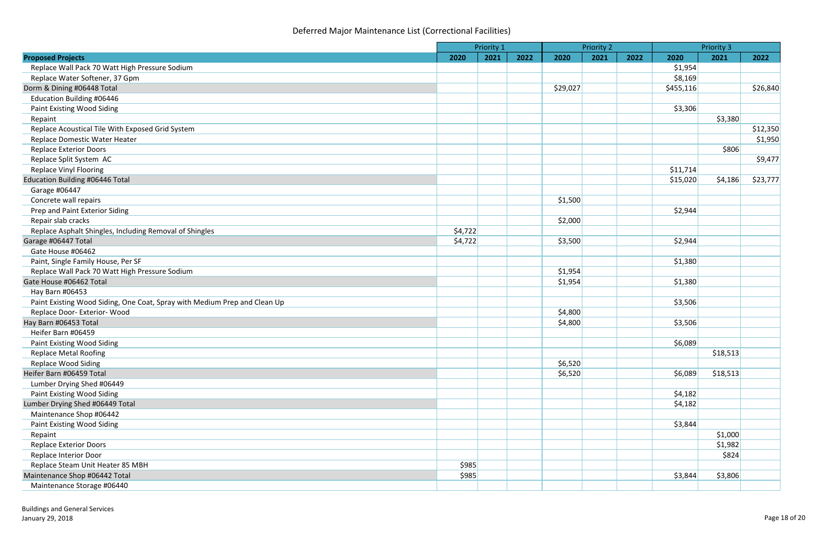|                                                                           | Priority 1 |      |      |          | <b>Priority 2</b> |      |           |                           |          |
|---------------------------------------------------------------------------|------------|------|------|----------|-------------------|------|-----------|---------------------------|----------|
| <b>Proposed Projects</b>                                                  | 2020       | 2021 | 2022 | 2020     | 2021              | 2022 | 2020      | <b>Priority 3</b><br>2021 | 2022     |
| Replace Wall Pack 70 Watt High Pressure Sodium                            |            |      |      |          |                   |      | \$1,954   |                           |          |
| Replace Water Softener, 37 Gpm                                            |            |      |      |          |                   |      | \$8,169   |                           |          |
| Dorm & Dining #06448 Total                                                |            |      |      | \$29,027 |                   |      | \$455,116 |                           | \$26,840 |
| Education Building #06446                                                 |            |      |      |          |                   |      |           |                           |          |
| Paint Existing Wood Siding                                                |            |      |      |          |                   |      | \$3,306   |                           |          |
| Repaint                                                                   |            |      |      |          |                   |      |           | \$3,380                   |          |
| Replace Acoustical Tile With Exposed Grid System                          |            |      |      |          |                   |      |           |                           | \$12,350 |
| Replace Domestic Water Heater                                             |            |      |      |          |                   |      |           |                           | \$1,950  |
| <b>Replace Exterior Doors</b>                                             |            |      |      |          |                   |      |           | \$806                     |          |
| Replace Split System AC                                                   |            |      |      |          |                   |      |           |                           | \$9,477  |
| <b>Replace Vinyl Flooring</b>                                             |            |      |      |          |                   |      | \$11,714  |                           |          |
| Education Building #06446 Total                                           |            |      |      |          |                   |      | \$15,020  | \$4,186                   | \$23,777 |
| Garage #06447                                                             |            |      |      |          |                   |      |           |                           |          |
| Concrete wall repairs                                                     |            |      |      | \$1,500  |                   |      |           |                           |          |
| Prep and Paint Exterior Siding                                            |            |      |      |          |                   |      | \$2,944   |                           |          |
| Repair slab cracks                                                        |            |      |      | \$2,000  |                   |      |           |                           |          |
| Replace Asphalt Shingles, Including Removal of Shingles                   | \$4,722    |      |      |          |                   |      |           |                           |          |
| Garage #06447 Total                                                       | \$4,722    |      |      | \$3,500  |                   |      | \$2,944   |                           |          |
| Gate House #06462                                                         |            |      |      |          |                   |      |           |                           |          |
| Paint, Single Family House, Per SF                                        |            |      |      |          |                   |      | \$1,380   |                           |          |
| Replace Wall Pack 70 Watt High Pressure Sodium                            |            |      |      | \$1,954  |                   |      |           |                           |          |
| Gate House #06462 Total                                                   |            |      |      | \$1,954  |                   |      | \$1,380   |                           |          |
| Hay Barn #06453                                                           |            |      |      |          |                   |      |           |                           |          |
| Paint Existing Wood Siding, One Coat, Spray with Medium Prep and Clean Up |            |      |      |          |                   |      | \$3,506   |                           |          |
| Replace Door- Exterior- Wood                                              |            |      |      | \$4,800  |                   |      |           |                           |          |
| Hay Barn #06453 Total                                                     |            |      |      | \$4,800  |                   |      | \$3,506   |                           |          |
| Heifer Barn #06459                                                        |            |      |      |          |                   |      |           |                           |          |
| Paint Existing Wood Siding                                                |            |      |      |          |                   |      | \$6,089   |                           |          |
| <b>Replace Metal Roofing</b>                                              |            |      |      |          |                   |      |           | \$18,513                  |          |
| Replace Wood Siding                                                       |            |      |      | \$6,520  |                   |      |           |                           |          |
| Heifer Barn #06459 Total                                                  |            |      |      | \$6,520  |                   |      | \$6,089   | \$18,513                  |          |
| Lumber Drying Shed #06449                                                 |            |      |      |          |                   |      |           |                           |          |
| Paint Existing Wood Siding                                                |            |      |      |          |                   |      | \$4,182   |                           |          |
| Lumber Drying Shed #06449 Total                                           |            |      |      |          |                   |      | \$4,182   |                           |          |
| Maintenance Shop #06442                                                   |            |      |      |          |                   |      |           |                           |          |
| Paint Existing Wood Siding                                                |            |      |      |          |                   |      | \$3,844   |                           |          |
| Repaint                                                                   |            |      |      |          |                   |      |           | \$1,000                   |          |
| <b>Replace Exterior Doors</b>                                             |            |      |      |          |                   |      |           | \$1,982                   |          |
| Replace Interior Door                                                     |            |      |      |          |                   |      |           | \$824                     |          |
| Replace Steam Unit Heater 85 MBH                                          | \$985      |      |      |          |                   |      |           |                           |          |
| Maintenance Shop #06442 Total                                             | \$985      |      |      |          |                   |      | \$3,844   | \$3,806                   |          |
| Maintenance Storage #06440                                                |            |      |      |          |                   |      |           |                           |          |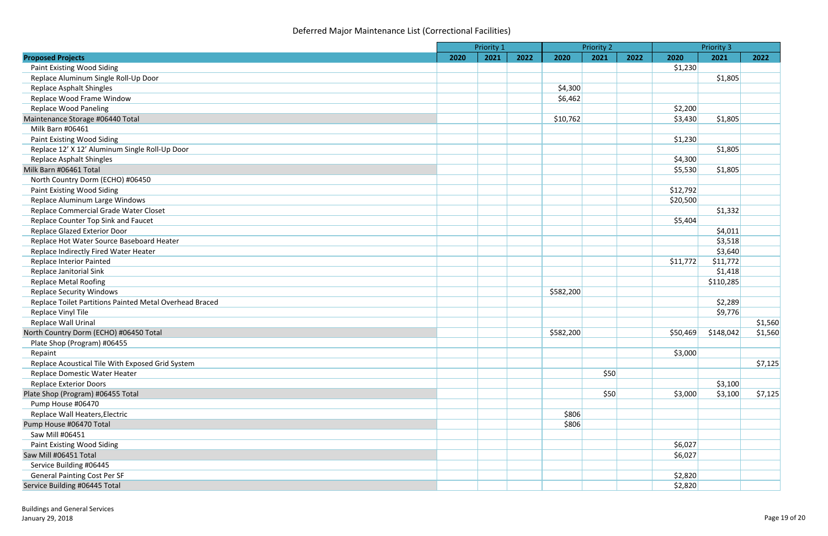|                                                         | Priority 1 |      | <b>Priority 2</b> |           |      | <b>Priority 3</b> |          |           |         |
|---------------------------------------------------------|------------|------|-------------------|-----------|------|-------------------|----------|-----------|---------|
| <b>Proposed Projects</b>                                | 2020       | 2021 | 2022              | 2020      | 2021 | 2022              | 2020     | 2021      | 2022    |
| Paint Existing Wood Siding                              |            |      |                   |           |      |                   | \$1,230  |           |         |
| Replace Aluminum Single Roll-Up Door                    |            |      |                   |           |      |                   |          | \$1,805   |         |
| <b>Replace Asphalt Shingles</b>                         |            |      |                   | \$4,300   |      |                   |          |           |         |
| Replace Wood Frame Window                               |            |      |                   | \$6,462   |      |                   |          |           |         |
| <b>Replace Wood Paneling</b>                            |            |      |                   |           |      |                   | \$2,200  |           |         |
| Maintenance Storage #06440 Total                        |            |      |                   | \$10,762  |      |                   | \$3,430  | \$1,805   |         |
| Milk Barn #06461                                        |            |      |                   |           |      |                   |          |           |         |
| Paint Existing Wood Siding                              |            |      |                   |           |      |                   | \$1,230  |           |         |
| Replace 12' X 12' Aluminum Single Roll-Up Door          |            |      |                   |           |      |                   |          | \$1,805   |         |
| <b>Replace Asphalt Shingles</b>                         |            |      |                   |           |      |                   | \$4,300  |           |         |
| Milk Barn #06461 Total                                  |            |      |                   |           |      |                   | \$5,530  | \$1,805   |         |
| North Country Dorm (ECHO) #06450                        |            |      |                   |           |      |                   |          |           |         |
| Paint Existing Wood Siding                              |            |      |                   |           |      |                   | \$12,792 |           |         |
| Replace Aluminum Large Windows                          |            |      |                   |           |      |                   | \$20,500 |           |         |
| Replace Commercial Grade Water Closet                   |            |      |                   |           |      |                   |          | \$1,332   |         |
| Replace Counter Top Sink and Faucet                     |            |      |                   |           |      |                   | \$5,404  |           |         |
| Replace Glazed Exterior Door                            |            |      |                   |           |      |                   |          | \$4,011   |         |
| Replace Hot Water Source Baseboard Heater               |            |      |                   |           |      |                   |          | \$3,518   |         |
| Replace Indirectly Fired Water Heater                   |            |      |                   |           |      |                   |          | \$3,640   |         |
| Replace Interior Painted                                |            |      |                   |           |      |                   | \$11,772 | \$11,772  |         |
| Replace Janitorial Sink                                 |            |      |                   |           |      |                   |          | \$1,418   |         |
| <b>Replace Metal Roofing</b>                            |            |      |                   |           |      |                   |          | \$110,285 |         |
| <b>Replace Security Windows</b>                         |            |      |                   | \$582,200 |      |                   |          |           |         |
| Replace Toilet Partitions Painted Metal Overhead Braced |            |      |                   |           |      |                   |          | \$2,289   |         |
| Replace Vinyl Tile                                      |            |      |                   |           |      |                   |          | \$9,776   |         |
| Replace Wall Urinal                                     |            |      |                   |           |      |                   |          |           | \$1,560 |
| North Country Dorm (ECHO) #06450 Total                  |            |      |                   | \$582,200 |      |                   | \$50,469 | \$148,042 | \$1,560 |
| Plate Shop (Program) #06455                             |            |      |                   |           |      |                   |          |           |         |
| Repaint                                                 |            |      |                   |           |      |                   | \$3,000  |           |         |
| Replace Acoustical Tile With Exposed Grid System        |            |      |                   |           |      |                   |          |           | \$7,125 |
| Replace Domestic Water Heater                           |            |      |                   |           | \$50 |                   |          |           |         |
| <b>Replace Exterior Doors</b>                           |            |      |                   |           |      |                   |          | \$3,100   |         |
| Plate Shop (Program) #06455 Total                       |            |      |                   |           | \$50 |                   | \$3,000  | \$3,100   | \$7,125 |
| Pump House #06470                                       |            |      |                   |           |      |                   |          |           |         |
| Replace Wall Heaters, Electric                          |            |      |                   | \$806     |      |                   |          |           |         |
| Pump House #06470 Total                                 |            |      |                   | \$806     |      |                   |          |           |         |
| Saw Mill #06451                                         |            |      |                   |           |      |                   |          |           |         |
| Paint Existing Wood Siding                              |            |      |                   |           |      |                   | \$6,027  |           |         |
| Saw Mill #06451 Total                                   |            |      |                   |           |      |                   | \$6,027  |           |         |
| Service Building #06445                                 |            |      |                   |           |      |                   |          |           |         |
| <b>General Painting Cost Per SF</b>                     |            |      |                   |           |      |                   | \$2,820  |           |         |
| Service Building #06445 Total                           |            |      |                   |           |      |                   | \$2,820  |           |         |
|                                                         |            |      |                   |           |      |                   |          |           |         |